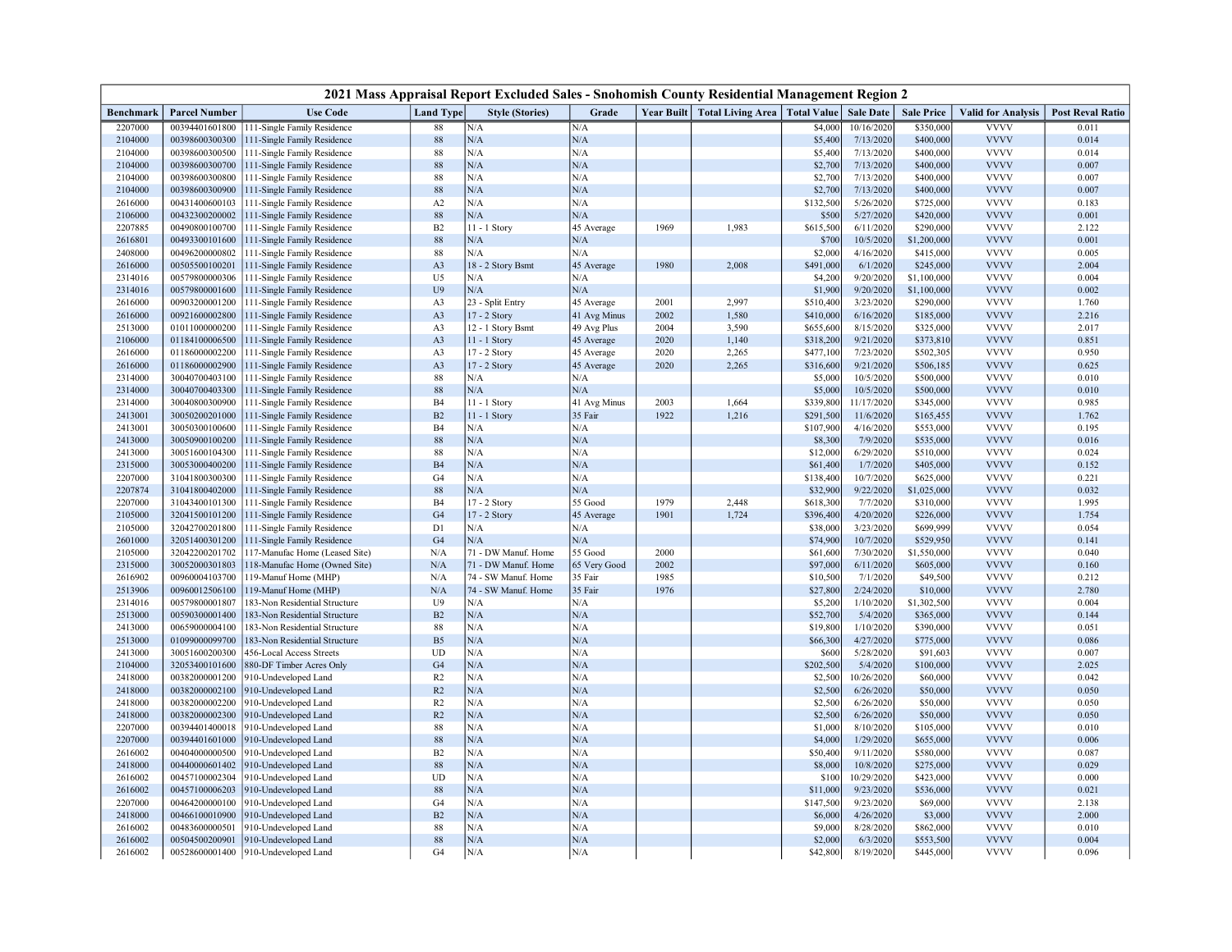| <b>Use Code</b><br>Year Built   Total Living Area   Total Value  <br><b>Sale Price</b><br><b>Post Reval Ratio</b><br><b>Parcel Number</b><br><b>Land Type</b><br><b>Style (Stories)</b><br>Grade<br><b>Sale Date</b><br><b>Valid for Analysis</b><br>Benchmark<br>111-Single Family Residence<br>\$350,000<br><b>VVVV</b><br>2207000<br>00394401601800<br>88<br>\$4,000<br>10/16/2020<br>0.011<br>N/A<br>N/A<br>N/A<br><b>VVVV</b><br>88<br>N/A<br>2104000<br>00398600300300<br>111-Single Family Residence<br>\$5,400<br>7/13/2020<br>\$400,000<br>0.014<br>N/A<br><b>VVVV</b><br>88<br>N/A<br>7/13/2020<br>\$400,000<br>0.014<br>2104000<br>00398600300500<br>111-Single Family Residence<br>\$5,400<br>88<br>N/A<br>N/A<br><b>VVVV</b><br>2104000<br>00398600300700<br>7/13/2020<br>\$400,000<br>0.007<br>111-Single Family Residence<br>\$2,700<br>N/A<br>N/A<br><b>VVVV</b><br>2104000<br>00398600300800<br>88<br>\$2,700<br>7/13/2020<br>0.007<br>111-Single Family Residence<br>\$400,000<br>N/A<br>N/A<br><b>VVVV</b><br>2104000<br>00398600300900<br>111-Single Family Residence<br>88<br>\$2,700<br>7/13/2020<br>\$400,000<br>0.007<br>N/A<br>N/A<br>\$132,500<br><b>VVVV</b><br>2616000<br>00431400600103<br>111-Single Family Residence<br>A2<br>5/26/2020<br>\$725,000<br>0.183<br>88<br><b>VVVV</b><br>2106000<br>00432300200002<br>111-Single Family Residence<br>N/A<br>N/A<br>\$500<br>5/27/2020<br>\$420,000<br>0.001<br><b>VVVV</b><br>11 - 1 Story<br>2207885<br>00490800100700<br>111-Single Family Residence<br>B <sub>2</sub><br>45 Average<br>1,983<br>\$615,500<br>6/11/2020<br>\$290,000<br>2.122<br>1969<br><b>VVVV</b><br>88<br>N/A<br>10/5/2020<br>0.001<br>2616801<br>00493300101600<br>111-Single Family Residence<br>N/A<br>\$700<br>\$1,200,000<br><b>VVVV</b><br>88<br>N/A<br>N/A<br>0.005<br>2408000<br>00496200000802<br>111-Single Family Residence<br>\$2,000<br>4/16/2020<br>\$415,000<br><b>VVVV</b><br>2616000<br>00505500100201<br>A <sub>3</sub><br>18 - 2 Story Bsmt<br>45 Average<br>1980<br>2,008<br>\$491,000<br>6/1/2020<br>\$245,000<br>2.004<br>111-Single Family Residence<br><b>VVVV</b><br>2314016<br>00579800000306<br>U5<br>N/A<br>\$4,200<br>9/20/2020<br>\$1,100,000<br>0.004<br>111-Single Family Residence<br>N/A<br><b>VVVV</b><br>2314016<br>00579800001600<br>U <sub>9</sub><br>N/A<br>N/A<br>\$1,900<br>9/20/2020<br>\$1,100,000<br>0.002<br>111-Single Family Residence<br>23 - Split Entry<br><b>VVVV</b><br>2616000<br>A3<br>45 Average<br>2001<br>2,997<br>\$510,400<br>3/23/2020<br>00903200001200<br>111-Single Family Residence<br>\$290,000<br>1.760<br><b>VVVV</b><br>17 - 2 Story<br>2616000<br>00921600002800<br>111-Single Family Residence<br>A <sub>3</sub><br>41 Avg Minus<br>2002<br>1,580<br>\$410,000<br>6/16/2020<br>\$185,000<br>2.216<br><b>VVVV</b><br>2513000<br>01011000000200<br>A3<br>12 - 1 Story Bsmt<br>49 Avg Plus<br>2004<br>3,590<br>\$655,600<br>8/15/2020<br>\$325,000<br>2.017<br>111-Single Family Residence<br><b>VVVV</b><br>0.851<br>2106000<br>01184100006500<br>111-Single Family Residence<br>A3<br>11 - 1 Story<br>45 Average<br>2020<br>1,140<br>\$318,200<br>9/21/2020<br>\$373,810<br><b>VVVV</b><br>2616000<br>01186000002200<br>17 - 2 Story<br>2,265<br>7/23/2020<br>0.950<br>111-Single Family Residence<br>A3<br>45 Average<br>2020<br>\$477,100<br>\$502,305<br><b>VVVV</b><br>0.625<br>2616000<br>01186000002900<br>111-Single Family Residence<br>A3<br>17 - 2 Story<br>45 Average<br>2020<br>2,265<br>\$316,600<br>9/21/2020<br>\$506,185<br>88<br>N/A<br>N/A<br><b>VVVV</b><br>2314000<br>30040700403100<br>111-Single Family Residence<br>\$5,000<br>10/5/2020<br>\$500,000<br>0.010<br>N/A<br><b>VVVV</b><br>88<br>N/A<br>10/5/2020<br>0.010<br>2314000<br>30040700403300<br>111-Single Family Residence<br>\$5,000<br>\$500,000<br><b>VVVV</b><br>2314000<br>30040800300900<br><b>B4</b><br>11 - 1 Story<br>41 Avg Minus<br>2003<br>1,664<br>\$339,800<br>11/17/2020<br>\$345,000<br>0.985<br>111-Single Family Residence<br>$\mathbf{B2}$<br><b>VVVV</b><br>2413001<br>30050200201000<br>111-Single Family Residence<br>11 - 1 Story<br>35 Fair<br>1922<br>1,216<br>\$291,500<br>11/6/2020<br>\$165,455<br>1.762<br><b>VVVV</b><br>2413001<br>30050300100600<br>111-Single Family Residence<br><b>B4</b><br>N/A<br>N/A<br>\$107,900<br>4/16/2020<br>\$553,000<br>0.195<br>88<br>N/A<br>N/A<br><b>VVVV</b><br>2413000<br>30050900100200<br>111-Single Family Residence<br>\$8,300<br>7/9/2020<br>\$535,000<br>0.016<br>88<br>N/A<br>N/A<br><b>VVVV</b><br>2413000<br>30051600104300<br>111-Single Family Residence<br>\$12,000<br>6/29/2020<br>\$510,000<br>0.024<br>N/A<br>N/A<br><b>VVVV</b><br>2315000<br>30053000400200<br>B <sub>4</sub><br>1/7/2020<br>0.152<br>111-Single Family Residence<br>\$61,400<br>\$405,000<br><b>VVVV</b><br>2207000<br>G4<br>N/A<br>N/A<br>0.221<br>31041800300300<br>111-Single Family Residence<br>\$138,400<br>10/7/2020<br>\$625,000<br>N/A<br><b>VVVV</b><br>2207874<br>31041800402000<br>88<br>N/A<br>\$32,900<br>9/22/2020<br>\$1,025,000<br>0.032<br>111-Single Family Residence<br>2207000<br><b>B4</b><br>17 - 2 Story<br>55 Good<br>1979<br>2,448<br>\$618,300<br>7/7/2020<br><b>VVVV</b><br>1.995<br>31043400101300<br>111-Single Family Residence<br>\$310,000<br><b>VVVV</b><br>2105000<br>32041500101200<br>111-Single Family Residence<br>G4<br>17 - 2 Story<br>45 Average<br>1901<br>1,724<br>\$396,400<br>4/20/2020<br>\$226,000<br>1.754<br><b>VVVV</b><br>32042700201800<br>D1<br>N/A<br>\$699,999<br>0.054<br>2105000<br>111-Single Family Residence<br>N/A<br>\$38,000<br>3/23/2020<br>N/A<br>N/A<br><b>VVVV</b><br>2601000<br>32051400301200<br>G <sub>4</sub><br>\$74,900<br>10/7/2020<br>\$529,950<br>0.141<br>111-Single Family Residence<br><b>VVVV</b><br>2105000<br>32042200201702<br>117-Manufac Home (Leased Site)<br>N/A<br>71 - DW Manuf. Home<br>55 Good<br>2000<br>\$61,600<br>7/30/2020<br>\$1,550,000<br>0.040<br><b>VVVV</b><br>2315000<br>30052000301803<br>118-Manufac Home (Owned Site)<br>N/A<br>71 - DW Manuf. Home<br>65 Very Good<br>2002<br>\$97,000<br>6/11/2020<br>\$605,000<br>0.160<br><b>VVVV</b><br>00960004103700<br>N/A<br>35 Fair<br>1985<br>7/1/2020<br>\$49,500<br>0.212<br>2616902<br>119-Manuf Home (MHP)<br>74 - SW Manuf. Home<br>\$10,500<br><b>VVVV</b><br>2.780<br>2513906<br>00960012506100<br>119-Manuf Home (MHP)<br>N/A<br>74 - SW Manuf. Home<br>35 Fair<br>1976<br>\$27,800<br>2/24/2020<br>\$10,000<br><b>VVVV</b><br>U <sub>9</sub><br>2314016<br>00579800001807<br>83-Non Residential Structure<br>N/A<br>N/A<br>\$5,200<br>1/10/2020<br>\$1,302,500<br>0.004<br>$\mathbf{B2}$<br>N/A<br><b>VVVV</b><br>2513000<br>N/A<br>\$52,700<br>5/4/2020<br>0.144<br>00590300001400<br>83-Non Residential Structure<br>\$365,000<br>88<br>N/A<br>N/A<br><b>VVVV</b><br>2413000<br>\$19,800<br>1/10/2020<br>\$390,000<br>0.051<br>00659000004100<br>83-Non Residential Structure<br>N/A<br><b>VVVV</b><br>2513000<br>01099000099700<br>B <sub>5</sub><br>N/A<br>\$66,300<br>4/27/2020<br>\$775,000<br>0.086<br>183-Non Residential Structure<br><b>VVVV</b><br>2413000<br>30051600200300<br>UD<br>N/A<br>N/A<br>\$600<br>5/28/2020<br>0.007<br>456-Local Access Streets<br>\$91,603<br>N/A<br>N/A<br><b>VVVV</b><br>2104000<br>32053400101600<br>880-DF Timber Acres Only<br>G4<br>\$202,500<br>5/4/2020<br>\$100,000<br>2.025<br>N/A<br>N/A<br><b>VVVV</b><br>2418000<br>R <sub>2</sub><br>\$2,500<br>0.042<br>00382000001200<br>910-Undeveloped Land<br>10/26/2020<br>\$60,000<br><b>VVVV</b><br>R2<br>N/A<br>N/A<br>2418000<br>00382000002100<br>910-Undeveloped Land<br>\$2,500<br>6/26/2020<br>\$50,000<br>0.050<br><b>VVVV</b><br>2418000<br>00382000002200<br>R2<br>N/A<br>N/A<br>\$2,500<br>\$50,000<br>0.050<br>910-Undeveloped Land<br>6/26/2020<br>N/A<br>N/A<br><b>VVVV</b><br>2418000<br>00382000002300<br>R <sub>2</sub><br>\$2,500<br>6/26/2020<br>\$50,000<br>0.050<br>910-Undeveloped Land<br><b>VVVV</b><br>2207000<br>00394401400018<br>88<br>N/A<br>N/A<br>\$1,000<br>8/10/2020<br>910-Undeveloped Land<br>\$105,000<br>0.010<br>N/A<br><b>VVVV</b><br>2207000<br>00394401601000<br>910-Undeveloped Land<br>88<br>N/A<br>\$4,000<br>1/29/2020<br>\$655,000<br>0.006<br>B2<br>N/A<br><b>VVVV</b><br>2616002<br>910-Undeveloped Land<br>N/A<br>\$50,400<br>9/11/2020<br>\$580,000<br>0.087<br>00404000000500<br>88<br>N/A<br>N/A<br><b>VVVV</b><br>0.029<br>2418000<br>00440000601402<br>910-Undeveloped Land<br>\$8,000<br>10/8/2020<br>\$275,000<br><b>VVVV</b><br><b>UD</b><br>N/A<br>N/A<br>2616002<br>00457100002304<br>910-Undeveloped Land<br>\$100<br>10/29/2020<br>\$423,000<br>0.000<br>N/A<br>N/A<br><b>VVVV</b><br>2616002<br>00457100006203<br>910-Undeveloped Land<br>88<br>\$11,000<br>9/23/2020<br>\$536,000<br>0.021<br>G4<br>N/A<br>N/A<br><b>VVVV</b><br>2207000<br>00464200000100<br>910-Undeveloped Land<br>\$147,500<br>9/23/2020<br>\$69,000<br>2.138<br>B2<br>N/A<br>N/A<br><b>VVVV</b><br>2418000<br>00466100010900<br>910-Undeveloped Land<br>\$6,000<br>4/26/2020<br>\$3,000<br>2.000 | 2021 Mass Appraisal Report Excluded Sales - Snohomish County Residential Management Region 2 |  |  |  |  |  |  |  |  |  |  |  |
|-------------------------------------------------------------------------------------------------------------------------------------------------------------------------------------------------------------------------------------------------------------------------------------------------------------------------------------------------------------------------------------------------------------------------------------------------------------------------------------------------------------------------------------------------------------------------------------------------------------------------------------------------------------------------------------------------------------------------------------------------------------------------------------------------------------------------------------------------------------------------------------------------------------------------------------------------------------------------------------------------------------------------------------------------------------------------------------------------------------------------------------------------------------------------------------------------------------------------------------------------------------------------------------------------------------------------------------------------------------------------------------------------------------------------------------------------------------------------------------------------------------------------------------------------------------------------------------------------------------------------------------------------------------------------------------------------------------------------------------------------------------------------------------------------------------------------------------------------------------------------------------------------------------------------------------------------------------------------------------------------------------------------------------------------------------------------------------------------------------------------------------------------------------------------------------------------------------------------------------------------------------------------------------------------------------------------------------------------------------------------------------------------------------------------------------------------------------------------------------------------------------------------------------------------------------------------------------------------------------------------------------------------------------------------------------------------------------------------------------------------------------------------------------------------------------------------------------------------------------------------------------------------------------------------------------------------------------------------------------------------------------------------------------------------------------------------------------------------------------------------------------------------------------------------------------------------------------------------------------------------------------------------------------------------------------------------------------------------------------------------------------------------------------------------------------------------------------------------------------------------------------------------------------------------------------------------------------------------------------------------------------------------------------------------------------------------------------------------------------------------------------------------------------------------------------------------------------------------------------------------------------------------------------------------------------------------------------------------------------------------------------------------------------------------------------------------------------------------------------------------------------------------------------------------------------------------------------------------------------------------------------------------------------------------------------------------------------------------------------------------------------------------------------------------------------------------------------------------------------------------------------------------------------------------------------------------------------------------------------------------------------------------------------------------------------------------------------------------------------------------------------------------------------------------------------------------------------------------------------------------------------------------------------------------------------------------------------------------------------------------------------------------------------------------------------------------------------------------------------------------------------------------------------------------------------------------------------------------------------------------------------------------------------------------------------------------------------------------------------------------------------------------------------------------------------------------------------------------------------------------------------------------------------------------------------------------------------------------------------------------------------------------------------------------------------------------------------------------------------------------------------------------------------------------------------------------------------------------------------------------------------------------------------------------------------------------------------------------------------------------------------------------------------------------------------------------------------------------------------------------------------------------------------------------------------------------------------------------------------------------------------------------------------------------------------------------------------------------------------------------------------------------------------------------------------------------------------------------------------------------------------------------------------------------------------------------------------------------------------------------------------------------------------------------------------------------------------------------------------------------------------------------------------------------------------------------------------------------------------------------------------------------------------------------------------------------------------------------------------------------------------------------------------------------------------------------------------------------------------------------------------------------------------------------------------------------------------------------------------------------------------------------------------------------------------------------------------------------------------------------------------------------------------------------------------------------------------------------------------------------------------------------------------------------------------------------------------------------------------------------------------------------------------------------------------------------------------------------------------------------------------------------------------------------------------------------------------------------------------------------------------------------------------------------------------------------------------------------------------------------------------------------------------------------------------------------------------------------------------------------------------------------------------------------------------------------------------------------------------------------------------------------------------------------------------------------------------------------------------------------------------------------------------------------------------------------------------------------------------------------------------------------------------------------------------------------------------------------------------------------------------------------------------------------------------------------------------------------------------------------------------------------------------------------------------------------------------------------------------------------------------------------------------------------------------------------------------------------------------------------------------------------------------------------------------------------------------------------------------------------------------------------------------|----------------------------------------------------------------------------------------------|--|--|--|--|--|--|--|--|--|--|--|
|                                                                                                                                                                                                                                                                                                                                                                                                                                                                                                                                                                                                                                                                                                                                                                                                                                                                                                                                                                                                                                                                                                                                                                                                                                                                                                                                                                                                                                                                                                                                                                                                                                                                                                                                                                                                                                                                                                                                                                                                                                                                                                                                                                                                                                                                                                                                                                                                                                                                                                                                                                                                                                                                                                                                                                                                                                                                                                                                                                                                                                                                                                                                                                                                                                                                                                                                                                                                                                                                                                                                                                                                                                                                                                                                                                                                                                                                                                                                                                                                                                                                                                                                                                                                                                                                                                                                                                                                                                                                                                                                                                                                                                                                                                                                                                                                                                                                                                                                                                                                                                                                                                                                                                                                                                                                                                                                                                                                                                                                                                                                                                                                                                                                                                                                                                                                                                                                                                                                                                                                                                                                                                                                                                                                                                                                                                                                                                                                                                                                                                                                                                                                                                                                                                                                                                                                                                                                                                                                                                                                                                                                                                                                                                                                                                                                                                                                                                                                                                                                                                                                                                                                                                                                                                                                                                                                                                                                                                                                                                                                                                                                                                                                                                                                                                                                                                                                                                                                                                                                                                                                                                                                                                                                                                                                                                                                                                                                                                                                                                                                                                                                                                                                                             |                                                                                              |  |  |  |  |  |  |  |  |  |  |  |
|                                                                                                                                                                                                                                                                                                                                                                                                                                                                                                                                                                                                                                                                                                                                                                                                                                                                                                                                                                                                                                                                                                                                                                                                                                                                                                                                                                                                                                                                                                                                                                                                                                                                                                                                                                                                                                                                                                                                                                                                                                                                                                                                                                                                                                                                                                                                                                                                                                                                                                                                                                                                                                                                                                                                                                                                                                                                                                                                                                                                                                                                                                                                                                                                                                                                                                                                                                                                                                                                                                                                                                                                                                                                                                                                                                                                                                                                                                                                                                                                                                                                                                                                                                                                                                                                                                                                                                                                                                                                                                                                                                                                                                                                                                                                                                                                                                                                                                                                                                                                                                                                                                                                                                                                                                                                                                                                                                                                                                                                                                                                                                                                                                                                                                                                                                                                                                                                                                                                                                                                                                                                                                                                                                                                                                                                                                                                                                                                                                                                                                                                                                                                                                                                                                                                                                                                                                                                                                                                                                                                                                                                                                                                                                                                                                                                                                                                                                                                                                                                                                                                                                                                                                                                                                                                                                                                                                                                                                                                                                                                                                                                                                                                                                                                                                                                                                                                                                                                                                                                                                                                                                                                                                                                                                                                                                                                                                                                                                                                                                                                                                                                                                                                                             |                                                                                              |  |  |  |  |  |  |  |  |  |  |  |
|                                                                                                                                                                                                                                                                                                                                                                                                                                                                                                                                                                                                                                                                                                                                                                                                                                                                                                                                                                                                                                                                                                                                                                                                                                                                                                                                                                                                                                                                                                                                                                                                                                                                                                                                                                                                                                                                                                                                                                                                                                                                                                                                                                                                                                                                                                                                                                                                                                                                                                                                                                                                                                                                                                                                                                                                                                                                                                                                                                                                                                                                                                                                                                                                                                                                                                                                                                                                                                                                                                                                                                                                                                                                                                                                                                                                                                                                                                                                                                                                                                                                                                                                                                                                                                                                                                                                                                                                                                                                                                                                                                                                                                                                                                                                                                                                                                                                                                                                                                                                                                                                                                                                                                                                                                                                                                                                                                                                                                                                                                                                                                                                                                                                                                                                                                                                                                                                                                                                                                                                                                                                                                                                                                                                                                                                                                                                                                                                                                                                                                                                                                                                                                                                                                                                                                                                                                                                                                                                                                                                                                                                                                                                                                                                                                                                                                                                                                                                                                                                                                                                                                                                                                                                                                                                                                                                                                                                                                                                                                                                                                                                                                                                                                                                                                                                                                                                                                                                                                                                                                                                                                                                                                                                                                                                                                                                                                                                                                                                                                                                                                                                                                                                                             |                                                                                              |  |  |  |  |  |  |  |  |  |  |  |
|                                                                                                                                                                                                                                                                                                                                                                                                                                                                                                                                                                                                                                                                                                                                                                                                                                                                                                                                                                                                                                                                                                                                                                                                                                                                                                                                                                                                                                                                                                                                                                                                                                                                                                                                                                                                                                                                                                                                                                                                                                                                                                                                                                                                                                                                                                                                                                                                                                                                                                                                                                                                                                                                                                                                                                                                                                                                                                                                                                                                                                                                                                                                                                                                                                                                                                                                                                                                                                                                                                                                                                                                                                                                                                                                                                                                                                                                                                                                                                                                                                                                                                                                                                                                                                                                                                                                                                                                                                                                                                                                                                                                                                                                                                                                                                                                                                                                                                                                                                                                                                                                                                                                                                                                                                                                                                                                                                                                                                                                                                                                                                                                                                                                                                                                                                                                                                                                                                                                                                                                                                                                                                                                                                                                                                                                                                                                                                                                                                                                                                                                                                                                                                                                                                                                                                                                                                                                                                                                                                                                                                                                                                                                                                                                                                                                                                                                                                                                                                                                                                                                                                                                                                                                                                                                                                                                                                                                                                                                                                                                                                                                                                                                                                                                                                                                                                                                                                                                                                                                                                                                                                                                                                                                                                                                                                                                                                                                                                                                                                                                                                                                                                                                                             |                                                                                              |  |  |  |  |  |  |  |  |  |  |  |
|                                                                                                                                                                                                                                                                                                                                                                                                                                                                                                                                                                                                                                                                                                                                                                                                                                                                                                                                                                                                                                                                                                                                                                                                                                                                                                                                                                                                                                                                                                                                                                                                                                                                                                                                                                                                                                                                                                                                                                                                                                                                                                                                                                                                                                                                                                                                                                                                                                                                                                                                                                                                                                                                                                                                                                                                                                                                                                                                                                                                                                                                                                                                                                                                                                                                                                                                                                                                                                                                                                                                                                                                                                                                                                                                                                                                                                                                                                                                                                                                                                                                                                                                                                                                                                                                                                                                                                                                                                                                                                                                                                                                                                                                                                                                                                                                                                                                                                                                                                                                                                                                                                                                                                                                                                                                                                                                                                                                                                                                                                                                                                                                                                                                                                                                                                                                                                                                                                                                                                                                                                                                                                                                                                                                                                                                                                                                                                                                                                                                                                                                                                                                                                                                                                                                                                                                                                                                                                                                                                                                                                                                                                                                                                                                                                                                                                                                                                                                                                                                                                                                                                                                                                                                                                                                                                                                                                                                                                                                                                                                                                                                                                                                                                                                                                                                                                                                                                                                                                                                                                                                                                                                                                                                                                                                                                                                                                                                                                                                                                                                                                                                                                                                                             |                                                                                              |  |  |  |  |  |  |  |  |  |  |  |
|                                                                                                                                                                                                                                                                                                                                                                                                                                                                                                                                                                                                                                                                                                                                                                                                                                                                                                                                                                                                                                                                                                                                                                                                                                                                                                                                                                                                                                                                                                                                                                                                                                                                                                                                                                                                                                                                                                                                                                                                                                                                                                                                                                                                                                                                                                                                                                                                                                                                                                                                                                                                                                                                                                                                                                                                                                                                                                                                                                                                                                                                                                                                                                                                                                                                                                                                                                                                                                                                                                                                                                                                                                                                                                                                                                                                                                                                                                                                                                                                                                                                                                                                                                                                                                                                                                                                                                                                                                                                                                                                                                                                                                                                                                                                                                                                                                                                                                                                                                                                                                                                                                                                                                                                                                                                                                                                                                                                                                                                                                                                                                                                                                                                                                                                                                                                                                                                                                                                                                                                                                                                                                                                                                                                                                                                                                                                                                                                                                                                                                                                                                                                                                                                                                                                                                                                                                                                                                                                                                                                                                                                                                                                                                                                                                                                                                                                                                                                                                                                                                                                                                                                                                                                                                                                                                                                                                                                                                                                                                                                                                                                                                                                                                                                                                                                                                                                                                                                                                                                                                                                                                                                                                                                                                                                                                                                                                                                                                                                                                                                                                                                                                                                                             |                                                                                              |  |  |  |  |  |  |  |  |  |  |  |
|                                                                                                                                                                                                                                                                                                                                                                                                                                                                                                                                                                                                                                                                                                                                                                                                                                                                                                                                                                                                                                                                                                                                                                                                                                                                                                                                                                                                                                                                                                                                                                                                                                                                                                                                                                                                                                                                                                                                                                                                                                                                                                                                                                                                                                                                                                                                                                                                                                                                                                                                                                                                                                                                                                                                                                                                                                                                                                                                                                                                                                                                                                                                                                                                                                                                                                                                                                                                                                                                                                                                                                                                                                                                                                                                                                                                                                                                                                                                                                                                                                                                                                                                                                                                                                                                                                                                                                                                                                                                                                                                                                                                                                                                                                                                                                                                                                                                                                                                                                                                                                                                                                                                                                                                                                                                                                                                                                                                                                                                                                                                                                                                                                                                                                                                                                                                                                                                                                                                                                                                                                                                                                                                                                                                                                                                                                                                                                                                                                                                                                                                                                                                                                                                                                                                                                                                                                                                                                                                                                                                                                                                                                                                                                                                                                                                                                                                                                                                                                                                                                                                                                                                                                                                                                                                                                                                                                                                                                                                                                                                                                                                                                                                                                                                                                                                                                                                                                                                                                                                                                                                                                                                                                                                                                                                                                                                                                                                                                                                                                                                                                                                                                                                                             |                                                                                              |  |  |  |  |  |  |  |  |  |  |  |
|                                                                                                                                                                                                                                                                                                                                                                                                                                                                                                                                                                                                                                                                                                                                                                                                                                                                                                                                                                                                                                                                                                                                                                                                                                                                                                                                                                                                                                                                                                                                                                                                                                                                                                                                                                                                                                                                                                                                                                                                                                                                                                                                                                                                                                                                                                                                                                                                                                                                                                                                                                                                                                                                                                                                                                                                                                                                                                                                                                                                                                                                                                                                                                                                                                                                                                                                                                                                                                                                                                                                                                                                                                                                                                                                                                                                                                                                                                                                                                                                                                                                                                                                                                                                                                                                                                                                                                                                                                                                                                                                                                                                                                                                                                                                                                                                                                                                                                                                                                                                                                                                                                                                                                                                                                                                                                                                                                                                                                                                                                                                                                                                                                                                                                                                                                                                                                                                                                                                                                                                                                                                                                                                                                                                                                                                                                                                                                                                                                                                                                                                                                                                                                                                                                                                                                                                                                                                                                                                                                                                                                                                                                                                                                                                                                                                                                                                                                                                                                                                                                                                                                                                                                                                                                                                                                                                                                                                                                                                                                                                                                                                                                                                                                                                                                                                                                                                                                                                                                                                                                                                                                                                                                                                                                                                                                                                                                                                                                                                                                                                                                                                                                                                                             |                                                                                              |  |  |  |  |  |  |  |  |  |  |  |
|                                                                                                                                                                                                                                                                                                                                                                                                                                                                                                                                                                                                                                                                                                                                                                                                                                                                                                                                                                                                                                                                                                                                                                                                                                                                                                                                                                                                                                                                                                                                                                                                                                                                                                                                                                                                                                                                                                                                                                                                                                                                                                                                                                                                                                                                                                                                                                                                                                                                                                                                                                                                                                                                                                                                                                                                                                                                                                                                                                                                                                                                                                                                                                                                                                                                                                                                                                                                                                                                                                                                                                                                                                                                                                                                                                                                                                                                                                                                                                                                                                                                                                                                                                                                                                                                                                                                                                                                                                                                                                                                                                                                                                                                                                                                                                                                                                                                                                                                                                                                                                                                                                                                                                                                                                                                                                                                                                                                                                                                                                                                                                                                                                                                                                                                                                                                                                                                                                                                                                                                                                                                                                                                                                                                                                                                                                                                                                                                                                                                                                                                                                                                                                                                                                                                                                                                                                                                                                                                                                                                                                                                                                                                                                                                                                                                                                                                                                                                                                                                                                                                                                                                                                                                                                                                                                                                                                                                                                                                                                                                                                                                                                                                                                                                                                                                                                                                                                                                                                                                                                                                                                                                                                                                                                                                                                                                                                                                                                                                                                                                                                                                                                                                                             |                                                                                              |  |  |  |  |  |  |  |  |  |  |  |
|                                                                                                                                                                                                                                                                                                                                                                                                                                                                                                                                                                                                                                                                                                                                                                                                                                                                                                                                                                                                                                                                                                                                                                                                                                                                                                                                                                                                                                                                                                                                                                                                                                                                                                                                                                                                                                                                                                                                                                                                                                                                                                                                                                                                                                                                                                                                                                                                                                                                                                                                                                                                                                                                                                                                                                                                                                                                                                                                                                                                                                                                                                                                                                                                                                                                                                                                                                                                                                                                                                                                                                                                                                                                                                                                                                                                                                                                                                                                                                                                                                                                                                                                                                                                                                                                                                                                                                                                                                                                                                                                                                                                                                                                                                                                                                                                                                                                                                                                                                                                                                                                                                                                                                                                                                                                                                                                                                                                                                                                                                                                                                                                                                                                                                                                                                                                                                                                                                                                                                                                                                                                                                                                                                                                                                                                                                                                                                                                                                                                                                                                                                                                                                                                                                                                                                                                                                                                                                                                                                                                                                                                                                                                                                                                                                                                                                                                                                                                                                                                                                                                                                                                                                                                                                                                                                                                                                                                                                                                                                                                                                                                                                                                                                                                                                                                                                                                                                                                                                                                                                                                                                                                                                                                                                                                                                                                                                                                                                                                                                                                                                                                                                                                                             |                                                                                              |  |  |  |  |  |  |  |  |  |  |  |
|                                                                                                                                                                                                                                                                                                                                                                                                                                                                                                                                                                                                                                                                                                                                                                                                                                                                                                                                                                                                                                                                                                                                                                                                                                                                                                                                                                                                                                                                                                                                                                                                                                                                                                                                                                                                                                                                                                                                                                                                                                                                                                                                                                                                                                                                                                                                                                                                                                                                                                                                                                                                                                                                                                                                                                                                                                                                                                                                                                                                                                                                                                                                                                                                                                                                                                                                                                                                                                                                                                                                                                                                                                                                                                                                                                                                                                                                                                                                                                                                                                                                                                                                                                                                                                                                                                                                                                                                                                                                                                                                                                                                                                                                                                                                                                                                                                                                                                                                                                                                                                                                                                                                                                                                                                                                                                                                                                                                                                                                                                                                                                                                                                                                                                                                                                                                                                                                                                                                                                                                                                                                                                                                                                                                                                                                                                                                                                                                                                                                                                                                                                                                                                                                                                                                                                                                                                                                                                                                                                                                                                                                                                                                                                                                                                                                                                                                                                                                                                                                                                                                                                                                                                                                                                                                                                                                                                                                                                                                                                                                                                                                                                                                                                                                                                                                                                                                                                                                                                                                                                                                                                                                                                                                                                                                                                                                                                                                                                                                                                                                                                                                                                                                                             |                                                                                              |  |  |  |  |  |  |  |  |  |  |  |
|                                                                                                                                                                                                                                                                                                                                                                                                                                                                                                                                                                                                                                                                                                                                                                                                                                                                                                                                                                                                                                                                                                                                                                                                                                                                                                                                                                                                                                                                                                                                                                                                                                                                                                                                                                                                                                                                                                                                                                                                                                                                                                                                                                                                                                                                                                                                                                                                                                                                                                                                                                                                                                                                                                                                                                                                                                                                                                                                                                                                                                                                                                                                                                                                                                                                                                                                                                                                                                                                                                                                                                                                                                                                                                                                                                                                                                                                                                                                                                                                                                                                                                                                                                                                                                                                                                                                                                                                                                                                                                                                                                                                                                                                                                                                                                                                                                                                                                                                                                                                                                                                                                                                                                                                                                                                                                                                                                                                                                                                                                                                                                                                                                                                                                                                                                                                                                                                                                                                                                                                                                                                                                                                                                                                                                                                                                                                                                                                                                                                                                                                                                                                                                                                                                                                                                                                                                                                                                                                                                                                                                                                                                                                                                                                                                                                                                                                                                                                                                                                                                                                                                                                                                                                                                                                                                                                                                                                                                                                                                                                                                                                                                                                                                                                                                                                                                                                                                                                                                                                                                                                                                                                                                                                                                                                                                                                                                                                                                                                                                                                                                                                                                                                                             |                                                                                              |  |  |  |  |  |  |  |  |  |  |  |
|                                                                                                                                                                                                                                                                                                                                                                                                                                                                                                                                                                                                                                                                                                                                                                                                                                                                                                                                                                                                                                                                                                                                                                                                                                                                                                                                                                                                                                                                                                                                                                                                                                                                                                                                                                                                                                                                                                                                                                                                                                                                                                                                                                                                                                                                                                                                                                                                                                                                                                                                                                                                                                                                                                                                                                                                                                                                                                                                                                                                                                                                                                                                                                                                                                                                                                                                                                                                                                                                                                                                                                                                                                                                                                                                                                                                                                                                                                                                                                                                                                                                                                                                                                                                                                                                                                                                                                                                                                                                                                                                                                                                                                                                                                                                                                                                                                                                                                                                                                                                                                                                                                                                                                                                                                                                                                                                                                                                                                                                                                                                                                                                                                                                                                                                                                                                                                                                                                                                                                                                                                                                                                                                                                                                                                                                                                                                                                                                                                                                                                                                                                                                                                                                                                                                                                                                                                                                                                                                                                                                                                                                                                                                                                                                                                                                                                                                                                                                                                                                                                                                                                                                                                                                                                                                                                                                                                                                                                                                                                                                                                                                                                                                                                                                                                                                                                                                                                                                                                                                                                                                                                                                                                                                                                                                                                                                                                                                                                                                                                                                                                                                                                                                                             |                                                                                              |  |  |  |  |  |  |  |  |  |  |  |
|                                                                                                                                                                                                                                                                                                                                                                                                                                                                                                                                                                                                                                                                                                                                                                                                                                                                                                                                                                                                                                                                                                                                                                                                                                                                                                                                                                                                                                                                                                                                                                                                                                                                                                                                                                                                                                                                                                                                                                                                                                                                                                                                                                                                                                                                                                                                                                                                                                                                                                                                                                                                                                                                                                                                                                                                                                                                                                                                                                                                                                                                                                                                                                                                                                                                                                                                                                                                                                                                                                                                                                                                                                                                                                                                                                                                                                                                                                                                                                                                                                                                                                                                                                                                                                                                                                                                                                                                                                                                                                                                                                                                                                                                                                                                                                                                                                                                                                                                                                                                                                                                                                                                                                                                                                                                                                                                                                                                                                                                                                                                                                                                                                                                                                                                                                                                                                                                                                                                                                                                                                                                                                                                                                                                                                                                                                                                                                                                                                                                                                                                                                                                                                                                                                                                                                                                                                                                                                                                                                                                                                                                                                                                                                                                                                                                                                                                                                                                                                                                                                                                                                                                                                                                                                                                                                                                                                                                                                                                                                                                                                                                                                                                                                                                                                                                                                                                                                                                                                                                                                                                                                                                                                                                                                                                                                                                                                                                                                                                                                                                                                                                                                                                                             |                                                                                              |  |  |  |  |  |  |  |  |  |  |  |
|                                                                                                                                                                                                                                                                                                                                                                                                                                                                                                                                                                                                                                                                                                                                                                                                                                                                                                                                                                                                                                                                                                                                                                                                                                                                                                                                                                                                                                                                                                                                                                                                                                                                                                                                                                                                                                                                                                                                                                                                                                                                                                                                                                                                                                                                                                                                                                                                                                                                                                                                                                                                                                                                                                                                                                                                                                                                                                                                                                                                                                                                                                                                                                                                                                                                                                                                                                                                                                                                                                                                                                                                                                                                                                                                                                                                                                                                                                                                                                                                                                                                                                                                                                                                                                                                                                                                                                                                                                                                                                                                                                                                                                                                                                                                                                                                                                                                                                                                                                                                                                                                                                                                                                                                                                                                                                                                                                                                                                                                                                                                                                                                                                                                                                                                                                                                                                                                                                                                                                                                                                                                                                                                                                                                                                                                                                                                                                                                                                                                                                                                                                                                                                                                                                                                                                                                                                                                                                                                                                                                                                                                                                                                                                                                                                                                                                                                                                                                                                                                                                                                                                                                                                                                                                                                                                                                                                                                                                                                                                                                                                                                                                                                                                                                                                                                                                                                                                                                                                                                                                                                                                                                                                                                                                                                                                                                                                                                                                                                                                                                                                                                                                                                                             |                                                                                              |  |  |  |  |  |  |  |  |  |  |  |
|                                                                                                                                                                                                                                                                                                                                                                                                                                                                                                                                                                                                                                                                                                                                                                                                                                                                                                                                                                                                                                                                                                                                                                                                                                                                                                                                                                                                                                                                                                                                                                                                                                                                                                                                                                                                                                                                                                                                                                                                                                                                                                                                                                                                                                                                                                                                                                                                                                                                                                                                                                                                                                                                                                                                                                                                                                                                                                                                                                                                                                                                                                                                                                                                                                                                                                                                                                                                                                                                                                                                                                                                                                                                                                                                                                                                                                                                                                                                                                                                                                                                                                                                                                                                                                                                                                                                                                                                                                                                                                                                                                                                                                                                                                                                                                                                                                                                                                                                                                                                                                                                                                                                                                                                                                                                                                                                                                                                                                                                                                                                                                                                                                                                                                                                                                                                                                                                                                                                                                                                                                                                                                                                                                                                                                                                                                                                                                                                                                                                                                                                                                                                                                                                                                                                                                                                                                                                                                                                                                                                                                                                                                                                                                                                                                                                                                                                                                                                                                                                                                                                                                                                                                                                                                                                                                                                                                                                                                                                                                                                                                                                                                                                                                                                                                                                                                                                                                                                                                                                                                                                                                                                                                                                                                                                                                                                                                                                                                                                                                                                                                                                                                                                                             |                                                                                              |  |  |  |  |  |  |  |  |  |  |  |
|                                                                                                                                                                                                                                                                                                                                                                                                                                                                                                                                                                                                                                                                                                                                                                                                                                                                                                                                                                                                                                                                                                                                                                                                                                                                                                                                                                                                                                                                                                                                                                                                                                                                                                                                                                                                                                                                                                                                                                                                                                                                                                                                                                                                                                                                                                                                                                                                                                                                                                                                                                                                                                                                                                                                                                                                                                                                                                                                                                                                                                                                                                                                                                                                                                                                                                                                                                                                                                                                                                                                                                                                                                                                                                                                                                                                                                                                                                                                                                                                                                                                                                                                                                                                                                                                                                                                                                                                                                                                                                                                                                                                                                                                                                                                                                                                                                                                                                                                                                                                                                                                                                                                                                                                                                                                                                                                                                                                                                                                                                                                                                                                                                                                                                                                                                                                                                                                                                                                                                                                                                                                                                                                                                                                                                                                                                                                                                                                                                                                                                                                                                                                                                                                                                                                                                                                                                                                                                                                                                                                                                                                                                                                                                                                                                                                                                                                                                                                                                                                                                                                                                                                                                                                                                                                                                                                                                                                                                                                                                                                                                                                                                                                                                                                                                                                                                                                                                                                                                                                                                                                                                                                                                                                                                                                                                                                                                                                                                                                                                                                                                                                                                                                                             |                                                                                              |  |  |  |  |  |  |  |  |  |  |  |
|                                                                                                                                                                                                                                                                                                                                                                                                                                                                                                                                                                                                                                                                                                                                                                                                                                                                                                                                                                                                                                                                                                                                                                                                                                                                                                                                                                                                                                                                                                                                                                                                                                                                                                                                                                                                                                                                                                                                                                                                                                                                                                                                                                                                                                                                                                                                                                                                                                                                                                                                                                                                                                                                                                                                                                                                                                                                                                                                                                                                                                                                                                                                                                                                                                                                                                                                                                                                                                                                                                                                                                                                                                                                                                                                                                                                                                                                                                                                                                                                                                                                                                                                                                                                                                                                                                                                                                                                                                                                                                                                                                                                                                                                                                                                                                                                                                                                                                                                                                                                                                                                                                                                                                                                                                                                                                                                                                                                                                                                                                                                                                                                                                                                                                                                                                                                                                                                                                                                                                                                                                                                                                                                                                                                                                                                                                                                                                                                                                                                                                                                                                                                                                                                                                                                                                                                                                                                                                                                                                                                                                                                                                                                                                                                                                                                                                                                                                                                                                                                                                                                                                                                                                                                                                                                                                                                                                                                                                                                                                                                                                                                                                                                                                                                                                                                                                                                                                                                                                                                                                                                                                                                                                                                                                                                                                                                                                                                                                                                                                                                                                                                                                                                                             |                                                                                              |  |  |  |  |  |  |  |  |  |  |  |
|                                                                                                                                                                                                                                                                                                                                                                                                                                                                                                                                                                                                                                                                                                                                                                                                                                                                                                                                                                                                                                                                                                                                                                                                                                                                                                                                                                                                                                                                                                                                                                                                                                                                                                                                                                                                                                                                                                                                                                                                                                                                                                                                                                                                                                                                                                                                                                                                                                                                                                                                                                                                                                                                                                                                                                                                                                                                                                                                                                                                                                                                                                                                                                                                                                                                                                                                                                                                                                                                                                                                                                                                                                                                                                                                                                                                                                                                                                                                                                                                                                                                                                                                                                                                                                                                                                                                                                                                                                                                                                                                                                                                                                                                                                                                                                                                                                                                                                                                                                                                                                                                                                                                                                                                                                                                                                                                                                                                                                                                                                                                                                                                                                                                                                                                                                                                                                                                                                                                                                                                                                                                                                                                                                                                                                                                                                                                                                                                                                                                                                                                                                                                                                                                                                                                                                                                                                                                                                                                                                                                                                                                                                                                                                                                                                                                                                                                                                                                                                                                                                                                                                                                                                                                                                                                                                                                                                                                                                                                                                                                                                                                                                                                                                                                                                                                                                                                                                                                                                                                                                                                                                                                                                                                                                                                                                                                                                                                                                                                                                                                                                                                                                                                                             |                                                                                              |  |  |  |  |  |  |  |  |  |  |  |
|                                                                                                                                                                                                                                                                                                                                                                                                                                                                                                                                                                                                                                                                                                                                                                                                                                                                                                                                                                                                                                                                                                                                                                                                                                                                                                                                                                                                                                                                                                                                                                                                                                                                                                                                                                                                                                                                                                                                                                                                                                                                                                                                                                                                                                                                                                                                                                                                                                                                                                                                                                                                                                                                                                                                                                                                                                                                                                                                                                                                                                                                                                                                                                                                                                                                                                                                                                                                                                                                                                                                                                                                                                                                                                                                                                                                                                                                                                                                                                                                                                                                                                                                                                                                                                                                                                                                                                                                                                                                                                                                                                                                                                                                                                                                                                                                                                                                                                                                                                                                                                                                                                                                                                                                                                                                                                                                                                                                                                                                                                                                                                                                                                                                                                                                                                                                                                                                                                                                                                                                                                                                                                                                                                                                                                                                                                                                                                                                                                                                                                                                                                                                                                                                                                                                                                                                                                                                                                                                                                                                                                                                                                                                                                                                                                                                                                                                                                                                                                                                                                                                                                                                                                                                                                                                                                                                                                                                                                                                                                                                                                                                                                                                                                                                                                                                                                                                                                                                                                                                                                                                                                                                                                                                                                                                                                                                                                                                                                                                                                                                                                                                                                                                                             |                                                                                              |  |  |  |  |  |  |  |  |  |  |  |
|                                                                                                                                                                                                                                                                                                                                                                                                                                                                                                                                                                                                                                                                                                                                                                                                                                                                                                                                                                                                                                                                                                                                                                                                                                                                                                                                                                                                                                                                                                                                                                                                                                                                                                                                                                                                                                                                                                                                                                                                                                                                                                                                                                                                                                                                                                                                                                                                                                                                                                                                                                                                                                                                                                                                                                                                                                                                                                                                                                                                                                                                                                                                                                                                                                                                                                                                                                                                                                                                                                                                                                                                                                                                                                                                                                                                                                                                                                                                                                                                                                                                                                                                                                                                                                                                                                                                                                                                                                                                                                                                                                                                                                                                                                                                                                                                                                                                                                                                                                                                                                                                                                                                                                                                                                                                                                                                                                                                                                                                                                                                                                                                                                                                                                                                                                                                                                                                                                                                                                                                                                                                                                                                                                                                                                                                                                                                                                                                                                                                                                                                                                                                                                                                                                                                                                                                                                                                                                                                                                                                                                                                                                                                                                                                                                                                                                                                                                                                                                                                                                                                                                                                                                                                                                                                                                                                                                                                                                                                                                                                                                                                                                                                                                                                                                                                                                                                                                                                                                                                                                                                                                                                                                                                                                                                                                                                                                                                                                                                                                                                                                                                                                                                                             |                                                                                              |  |  |  |  |  |  |  |  |  |  |  |
|                                                                                                                                                                                                                                                                                                                                                                                                                                                                                                                                                                                                                                                                                                                                                                                                                                                                                                                                                                                                                                                                                                                                                                                                                                                                                                                                                                                                                                                                                                                                                                                                                                                                                                                                                                                                                                                                                                                                                                                                                                                                                                                                                                                                                                                                                                                                                                                                                                                                                                                                                                                                                                                                                                                                                                                                                                                                                                                                                                                                                                                                                                                                                                                                                                                                                                                                                                                                                                                                                                                                                                                                                                                                                                                                                                                                                                                                                                                                                                                                                                                                                                                                                                                                                                                                                                                                                                                                                                                                                                                                                                                                                                                                                                                                                                                                                                                                                                                                                                                                                                                                                                                                                                                                                                                                                                                                                                                                                                                                                                                                                                                                                                                                                                                                                                                                                                                                                                                                                                                                                                                                                                                                                                                                                                                                                                                                                                                                                                                                                                                                                                                                                                                                                                                                                                                                                                                                                                                                                                                                                                                                                                                                                                                                                                                                                                                                                                                                                                                                                                                                                                                                                                                                                                                                                                                                                                                                                                                                                                                                                                                                                                                                                                                                                                                                                                                                                                                                                                                                                                                                                                                                                                                                                                                                                                                                                                                                                                                                                                                                                                                                                                                                                             |                                                                                              |  |  |  |  |  |  |  |  |  |  |  |
|                                                                                                                                                                                                                                                                                                                                                                                                                                                                                                                                                                                                                                                                                                                                                                                                                                                                                                                                                                                                                                                                                                                                                                                                                                                                                                                                                                                                                                                                                                                                                                                                                                                                                                                                                                                                                                                                                                                                                                                                                                                                                                                                                                                                                                                                                                                                                                                                                                                                                                                                                                                                                                                                                                                                                                                                                                                                                                                                                                                                                                                                                                                                                                                                                                                                                                                                                                                                                                                                                                                                                                                                                                                                                                                                                                                                                                                                                                                                                                                                                                                                                                                                                                                                                                                                                                                                                                                                                                                                                                                                                                                                                                                                                                                                                                                                                                                                                                                                                                                                                                                                                                                                                                                                                                                                                                                                                                                                                                                                                                                                                                                                                                                                                                                                                                                                                                                                                                                                                                                                                                                                                                                                                                                                                                                                                                                                                                                                                                                                                                                                                                                                                                                                                                                                                                                                                                                                                                                                                                                                                                                                                                                                                                                                                                                                                                                                                                                                                                                                                                                                                                                                                                                                                                                                                                                                                                                                                                                                                                                                                                                                                                                                                                                                                                                                                                                                                                                                                                                                                                                                                                                                                                                                                                                                                                                                                                                                                                                                                                                                                                                                                                                                                             |                                                                                              |  |  |  |  |  |  |  |  |  |  |  |
|                                                                                                                                                                                                                                                                                                                                                                                                                                                                                                                                                                                                                                                                                                                                                                                                                                                                                                                                                                                                                                                                                                                                                                                                                                                                                                                                                                                                                                                                                                                                                                                                                                                                                                                                                                                                                                                                                                                                                                                                                                                                                                                                                                                                                                                                                                                                                                                                                                                                                                                                                                                                                                                                                                                                                                                                                                                                                                                                                                                                                                                                                                                                                                                                                                                                                                                                                                                                                                                                                                                                                                                                                                                                                                                                                                                                                                                                                                                                                                                                                                                                                                                                                                                                                                                                                                                                                                                                                                                                                                                                                                                                                                                                                                                                                                                                                                                                                                                                                                                                                                                                                                                                                                                                                                                                                                                                                                                                                                                                                                                                                                                                                                                                                                                                                                                                                                                                                                                                                                                                                                                                                                                                                                                                                                                                                                                                                                                                                                                                                                                                                                                                                                                                                                                                                                                                                                                                                                                                                                                                                                                                                                                                                                                                                                                                                                                                                                                                                                                                                                                                                                                                                                                                                                                                                                                                                                                                                                                                                                                                                                                                                                                                                                                                                                                                                                                                                                                                                                                                                                                                                                                                                                                                                                                                                                                                                                                                                                                                                                                                                                                                                                                                                             |                                                                                              |  |  |  |  |  |  |  |  |  |  |  |
|                                                                                                                                                                                                                                                                                                                                                                                                                                                                                                                                                                                                                                                                                                                                                                                                                                                                                                                                                                                                                                                                                                                                                                                                                                                                                                                                                                                                                                                                                                                                                                                                                                                                                                                                                                                                                                                                                                                                                                                                                                                                                                                                                                                                                                                                                                                                                                                                                                                                                                                                                                                                                                                                                                                                                                                                                                                                                                                                                                                                                                                                                                                                                                                                                                                                                                                                                                                                                                                                                                                                                                                                                                                                                                                                                                                                                                                                                                                                                                                                                                                                                                                                                                                                                                                                                                                                                                                                                                                                                                                                                                                                                                                                                                                                                                                                                                                                                                                                                                                                                                                                                                                                                                                                                                                                                                                                                                                                                                                                                                                                                                                                                                                                                                                                                                                                                                                                                                                                                                                                                                                                                                                                                                                                                                                                                                                                                                                                                                                                                                                                                                                                                                                                                                                                                                                                                                                                                                                                                                                                                                                                                                                                                                                                                                                                                                                                                                                                                                                                                                                                                                                                                                                                                                                                                                                                                                                                                                                                                                                                                                                                                                                                                                                                                                                                                                                                                                                                                                                                                                                                                                                                                                                                                                                                                                                                                                                                                                                                                                                                                                                                                                                                                             |                                                                                              |  |  |  |  |  |  |  |  |  |  |  |
|                                                                                                                                                                                                                                                                                                                                                                                                                                                                                                                                                                                                                                                                                                                                                                                                                                                                                                                                                                                                                                                                                                                                                                                                                                                                                                                                                                                                                                                                                                                                                                                                                                                                                                                                                                                                                                                                                                                                                                                                                                                                                                                                                                                                                                                                                                                                                                                                                                                                                                                                                                                                                                                                                                                                                                                                                                                                                                                                                                                                                                                                                                                                                                                                                                                                                                                                                                                                                                                                                                                                                                                                                                                                                                                                                                                                                                                                                                                                                                                                                                                                                                                                                                                                                                                                                                                                                                                                                                                                                                                                                                                                                                                                                                                                                                                                                                                                                                                                                                                                                                                                                                                                                                                                                                                                                                                                                                                                                                                                                                                                                                                                                                                                                                                                                                                                                                                                                                                                                                                                                                                                                                                                                                                                                                                                                                                                                                                                                                                                                                                                                                                                                                                                                                                                                                                                                                                                                                                                                                                                                                                                                                                                                                                                                                                                                                                                                                                                                                                                                                                                                                                                                                                                                                                                                                                                                                                                                                                                                                                                                                                                                                                                                                                                                                                                                                                                                                                                                                                                                                                                                                                                                                                                                                                                                                                                                                                                                                                                                                                                                                                                                                                                                             |                                                                                              |  |  |  |  |  |  |  |  |  |  |  |
|                                                                                                                                                                                                                                                                                                                                                                                                                                                                                                                                                                                                                                                                                                                                                                                                                                                                                                                                                                                                                                                                                                                                                                                                                                                                                                                                                                                                                                                                                                                                                                                                                                                                                                                                                                                                                                                                                                                                                                                                                                                                                                                                                                                                                                                                                                                                                                                                                                                                                                                                                                                                                                                                                                                                                                                                                                                                                                                                                                                                                                                                                                                                                                                                                                                                                                                                                                                                                                                                                                                                                                                                                                                                                                                                                                                                                                                                                                                                                                                                                                                                                                                                                                                                                                                                                                                                                                                                                                                                                                                                                                                                                                                                                                                                                                                                                                                                                                                                                                                                                                                                                                                                                                                                                                                                                                                                                                                                                                                                                                                                                                                                                                                                                                                                                                                                                                                                                                                                                                                                                                                                                                                                                                                                                                                                                                                                                                                                                                                                                                                                                                                                                                                                                                                                                                                                                                                                                                                                                                                                                                                                                                                                                                                                                                                                                                                                                                                                                                                                                                                                                                                                                                                                                                                                                                                                                                                                                                                                                                                                                                                                                                                                                                                                                                                                                                                                                                                                                                                                                                                                                                                                                                                                                                                                                                                                                                                                                                                                                                                                                                                                                                                                                             |                                                                                              |  |  |  |  |  |  |  |  |  |  |  |
|                                                                                                                                                                                                                                                                                                                                                                                                                                                                                                                                                                                                                                                                                                                                                                                                                                                                                                                                                                                                                                                                                                                                                                                                                                                                                                                                                                                                                                                                                                                                                                                                                                                                                                                                                                                                                                                                                                                                                                                                                                                                                                                                                                                                                                                                                                                                                                                                                                                                                                                                                                                                                                                                                                                                                                                                                                                                                                                                                                                                                                                                                                                                                                                                                                                                                                                                                                                                                                                                                                                                                                                                                                                                                                                                                                                                                                                                                                                                                                                                                                                                                                                                                                                                                                                                                                                                                                                                                                                                                                                                                                                                                                                                                                                                                                                                                                                                                                                                                                                                                                                                                                                                                                                                                                                                                                                                                                                                                                                                                                                                                                                                                                                                                                                                                                                                                                                                                                                                                                                                                                                                                                                                                                                                                                                                                                                                                                                                                                                                                                                                                                                                                                                                                                                                                                                                                                                                                                                                                                                                                                                                                                                                                                                                                                                                                                                                                                                                                                                                                                                                                                                                                                                                                                                                                                                                                                                                                                                                                                                                                                                                                                                                                                                                                                                                                                                                                                                                                                                                                                                                                                                                                                                                                                                                                                                                                                                                                                                                                                                                                                                                                                                                                             |                                                                                              |  |  |  |  |  |  |  |  |  |  |  |
|                                                                                                                                                                                                                                                                                                                                                                                                                                                                                                                                                                                                                                                                                                                                                                                                                                                                                                                                                                                                                                                                                                                                                                                                                                                                                                                                                                                                                                                                                                                                                                                                                                                                                                                                                                                                                                                                                                                                                                                                                                                                                                                                                                                                                                                                                                                                                                                                                                                                                                                                                                                                                                                                                                                                                                                                                                                                                                                                                                                                                                                                                                                                                                                                                                                                                                                                                                                                                                                                                                                                                                                                                                                                                                                                                                                                                                                                                                                                                                                                                                                                                                                                                                                                                                                                                                                                                                                                                                                                                                                                                                                                                                                                                                                                                                                                                                                                                                                                                                                                                                                                                                                                                                                                                                                                                                                                                                                                                                                                                                                                                                                                                                                                                                                                                                                                                                                                                                                                                                                                                                                                                                                                                                                                                                                                                                                                                                                                                                                                                                                                                                                                                                                                                                                                                                                                                                                                                                                                                                                                                                                                                                                                                                                                                                                                                                                                                                                                                                                                                                                                                                                                                                                                                                                                                                                                                                                                                                                                                                                                                                                                                                                                                                                                                                                                                                                                                                                                                                                                                                                                                                                                                                                                                                                                                                                                                                                                                                                                                                                                                                                                                                                                                             |                                                                                              |  |  |  |  |  |  |  |  |  |  |  |
|                                                                                                                                                                                                                                                                                                                                                                                                                                                                                                                                                                                                                                                                                                                                                                                                                                                                                                                                                                                                                                                                                                                                                                                                                                                                                                                                                                                                                                                                                                                                                                                                                                                                                                                                                                                                                                                                                                                                                                                                                                                                                                                                                                                                                                                                                                                                                                                                                                                                                                                                                                                                                                                                                                                                                                                                                                                                                                                                                                                                                                                                                                                                                                                                                                                                                                                                                                                                                                                                                                                                                                                                                                                                                                                                                                                                                                                                                                                                                                                                                                                                                                                                                                                                                                                                                                                                                                                                                                                                                                                                                                                                                                                                                                                                                                                                                                                                                                                                                                                                                                                                                                                                                                                                                                                                                                                                                                                                                                                                                                                                                                                                                                                                                                                                                                                                                                                                                                                                                                                                                                                                                                                                                                                                                                                                                                                                                                                                                                                                                                                                                                                                                                                                                                                                                                                                                                                                                                                                                                                                                                                                                                                                                                                                                                                                                                                                                                                                                                                                                                                                                                                                                                                                                                                                                                                                                                                                                                                                                                                                                                                                                                                                                                                                                                                                                                                                                                                                                                                                                                                                                                                                                                                                                                                                                                                                                                                                                                                                                                                                                                                                                                                                                             |                                                                                              |  |  |  |  |  |  |  |  |  |  |  |
|                                                                                                                                                                                                                                                                                                                                                                                                                                                                                                                                                                                                                                                                                                                                                                                                                                                                                                                                                                                                                                                                                                                                                                                                                                                                                                                                                                                                                                                                                                                                                                                                                                                                                                                                                                                                                                                                                                                                                                                                                                                                                                                                                                                                                                                                                                                                                                                                                                                                                                                                                                                                                                                                                                                                                                                                                                                                                                                                                                                                                                                                                                                                                                                                                                                                                                                                                                                                                                                                                                                                                                                                                                                                                                                                                                                                                                                                                                                                                                                                                                                                                                                                                                                                                                                                                                                                                                                                                                                                                                                                                                                                                                                                                                                                                                                                                                                                                                                                                                                                                                                                                                                                                                                                                                                                                                                                                                                                                                                                                                                                                                                                                                                                                                                                                                                                                                                                                                                                                                                                                                                                                                                                                                                                                                                                                                                                                                                                                                                                                                                                                                                                                                                                                                                                                                                                                                                                                                                                                                                                                                                                                                                                                                                                                                                                                                                                                                                                                                                                                                                                                                                                                                                                                                                                                                                                                                                                                                                                                                                                                                                                                                                                                                                                                                                                                                                                                                                                                                                                                                                                                                                                                                                                                                                                                                                                                                                                                                                                                                                                                                                                                                                                                             |                                                                                              |  |  |  |  |  |  |  |  |  |  |  |
|                                                                                                                                                                                                                                                                                                                                                                                                                                                                                                                                                                                                                                                                                                                                                                                                                                                                                                                                                                                                                                                                                                                                                                                                                                                                                                                                                                                                                                                                                                                                                                                                                                                                                                                                                                                                                                                                                                                                                                                                                                                                                                                                                                                                                                                                                                                                                                                                                                                                                                                                                                                                                                                                                                                                                                                                                                                                                                                                                                                                                                                                                                                                                                                                                                                                                                                                                                                                                                                                                                                                                                                                                                                                                                                                                                                                                                                                                                                                                                                                                                                                                                                                                                                                                                                                                                                                                                                                                                                                                                                                                                                                                                                                                                                                                                                                                                                                                                                                                                                                                                                                                                                                                                                                                                                                                                                                                                                                                                                                                                                                                                                                                                                                                                                                                                                                                                                                                                                                                                                                                                                                                                                                                                                                                                                                                                                                                                                                                                                                                                                                                                                                                                                                                                                                                                                                                                                                                                                                                                                                                                                                                                                                                                                                                                                                                                                                                                                                                                                                                                                                                                                                                                                                                                                                                                                                                                                                                                                                                                                                                                                                                                                                                                                                                                                                                                                                                                                                                                                                                                                                                                                                                                                                                                                                                                                                                                                                                                                                                                                                                                                                                                                                                             |                                                                                              |  |  |  |  |  |  |  |  |  |  |  |
|                                                                                                                                                                                                                                                                                                                                                                                                                                                                                                                                                                                                                                                                                                                                                                                                                                                                                                                                                                                                                                                                                                                                                                                                                                                                                                                                                                                                                                                                                                                                                                                                                                                                                                                                                                                                                                                                                                                                                                                                                                                                                                                                                                                                                                                                                                                                                                                                                                                                                                                                                                                                                                                                                                                                                                                                                                                                                                                                                                                                                                                                                                                                                                                                                                                                                                                                                                                                                                                                                                                                                                                                                                                                                                                                                                                                                                                                                                                                                                                                                                                                                                                                                                                                                                                                                                                                                                                                                                                                                                                                                                                                                                                                                                                                                                                                                                                                                                                                                                                                                                                                                                                                                                                                                                                                                                                                                                                                                                                                                                                                                                                                                                                                                                                                                                                                                                                                                                                                                                                                                                                                                                                                                                                                                                                                                                                                                                                                                                                                                                                                                                                                                                                                                                                                                                                                                                                                                                                                                                                                                                                                                                                                                                                                                                                                                                                                                                                                                                                                                                                                                                                                                                                                                                                                                                                                                                                                                                                                                                                                                                                                                                                                                                                                                                                                                                                                                                                                                                                                                                                                                                                                                                                                                                                                                                                                                                                                                                                                                                                                                                                                                                                                                             |                                                                                              |  |  |  |  |  |  |  |  |  |  |  |
|                                                                                                                                                                                                                                                                                                                                                                                                                                                                                                                                                                                                                                                                                                                                                                                                                                                                                                                                                                                                                                                                                                                                                                                                                                                                                                                                                                                                                                                                                                                                                                                                                                                                                                                                                                                                                                                                                                                                                                                                                                                                                                                                                                                                                                                                                                                                                                                                                                                                                                                                                                                                                                                                                                                                                                                                                                                                                                                                                                                                                                                                                                                                                                                                                                                                                                                                                                                                                                                                                                                                                                                                                                                                                                                                                                                                                                                                                                                                                                                                                                                                                                                                                                                                                                                                                                                                                                                                                                                                                                                                                                                                                                                                                                                                                                                                                                                                                                                                                                                                                                                                                                                                                                                                                                                                                                                                                                                                                                                                                                                                                                                                                                                                                                                                                                                                                                                                                                                                                                                                                                                                                                                                                                                                                                                                                                                                                                                                                                                                                                                                                                                                                                                                                                                                                                                                                                                                                                                                                                                                                                                                                                                                                                                                                                                                                                                                                                                                                                                                                                                                                                                                                                                                                                                                                                                                                                                                                                                                                                                                                                                                                                                                                                                                                                                                                                                                                                                                                                                                                                                                                                                                                                                                                                                                                                                                                                                                                                                                                                                                                                                                                                                                                             |                                                                                              |  |  |  |  |  |  |  |  |  |  |  |
|                                                                                                                                                                                                                                                                                                                                                                                                                                                                                                                                                                                                                                                                                                                                                                                                                                                                                                                                                                                                                                                                                                                                                                                                                                                                                                                                                                                                                                                                                                                                                                                                                                                                                                                                                                                                                                                                                                                                                                                                                                                                                                                                                                                                                                                                                                                                                                                                                                                                                                                                                                                                                                                                                                                                                                                                                                                                                                                                                                                                                                                                                                                                                                                                                                                                                                                                                                                                                                                                                                                                                                                                                                                                                                                                                                                                                                                                                                                                                                                                                                                                                                                                                                                                                                                                                                                                                                                                                                                                                                                                                                                                                                                                                                                                                                                                                                                                                                                                                                                                                                                                                                                                                                                                                                                                                                                                                                                                                                                                                                                                                                                                                                                                                                                                                                                                                                                                                                                                                                                                                                                                                                                                                                                                                                                                                                                                                                                                                                                                                                                                                                                                                                                                                                                                                                                                                                                                                                                                                                                                                                                                                                                                                                                                                                                                                                                                                                                                                                                                                                                                                                                                                                                                                                                                                                                                                                                                                                                                                                                                                                                                                                                                                                                                                                                                                                                                                                                                                                                                                                                                                                                                                                                                                                                                                                                                                                                                                                                                                                                                                                                                                                                                                             |                                                                                              |  |  |  |  |  |  |  |  |  |  |  |
|                                                                                                                                                                                                                                                                                                                                                                                                                                                                                                                                                                                                                                                                                                                                                                                                                                                                                                                                                                                                                                                                                                                                                                                                                                                                                                                                                                                                                                                                                                                                                                                                                                                                                                                                                                                                                                                                                                                                                                                                                                                                                                                                                                                                                                                                                                                                                                                                                                                                                                                                                                                                                                                                                                                                                                                                                                                                                                                                                                                                                                                                                                                                                                                                                                                                                                                                                                                                                                                                                                                                                                                                                                                                                                                                                                                                                                                                                                                                                                                                                                                                                                                                                                                                                                                                                                                                                                                                                                                                                                                                                                                                                                                                                                                                                                                                                                                                                                                                                                                                                                                                                                                                                                                                                                                                                                                                                                                                                                                                                                                                                                                                                                                                                                                                                                                                                                                                                                                                                                                                                                                                                                                                                                                                                                                                                                                                                                                                                                                                                                                                                                                                                                                                                                                                                                                                                                                                                                                                                                                                                                                                                                                                                                                                                                                                                                                                                                                                                                                                                                                                                                                                                                                                                                                                                                                                                                                                                                                                                                                                                                                                                                                                                                                                                                                                                                                                                                                                                                                                                                                                                                                                                                                                                                                                                                                                                                                                                                                                                                                                                                                                                                                                                             |                                                                                              |  |  |  |  |  |  |  |  |  |  |  |
|                                                                                                                                                                                                                                                                                                                                                                                                                                                                                                                                                                                                                                                                                                                                                                                                                                                                                                                                                                                                                                                                                                                                                                                                                                                                                                                                                                                                                                                                                                                                                                                                                                                                                                                                                                                                                                                                                                                                                                                                                                                                                                                                                                                                                                                                                                                                                                                                                                                                                                                                                                                                                                                                                                                                                                                                                                                                                                                                                                                                                                                                                                                                                                                                                                                                                                                                                                                                                                                                                                                                                                                                                                                                                                                                                                                                                                                                                                                                                                                                                                                                                                                                                                                                                                                                                                                                                                                                                                                                                                                                                                                                                                                                                                                                                                                                                                                                                                                                                                                                                                                                                                                                                                                                                                                                                                                                                                                                                                                                                                                                                                                                                                                                                                                                                                                                                                                                                                                                                                                                                                                                                                                                                                                                                                                                                                                                                                                                                                                                                                                                                                                                                                                                                                                                                                                                                                                                                                                                                                                                                                                                                                                                                                                                                                                                                                                                                                                                                                                                                                                                                                                                                                                                                                                                                                                                                                                                                                                                                                                                                                                                                                                                                                                                                                                                                                                                                                                                                                                                                                                                                                                                                                                                                                                                                                                                                                                                                                                                                                                                                                                                                                                                                             |                                                                                              |  |  |  |  |  |  |  |  |  |  |  |
|                                                                                                                                                                                                                                                                                                                                                                                                                                                                                                                                                                                                                                                                                                                                                                                                                                                                                                                                                                                                                                                                                                                                                                                                                                                                                                                                                                                                                                                                                                                                                                                                                                                                                                                                                                                                                                                                                                                                                                                                                                                                                                                                                                                                                                                                                                                                                                                                                                                                                                                                                                                                                                                                                                                                                                                                                                                                                                                                                                                                                                                                                                                                                                                                                                                                                                                                                                                                                                                                                                                                                                                                                                                                                                                                                                                                                                                                                                                                                                                                                                                                                                                                                                                                                                                                                                                                                                                                                                                                                                                                                                                                                                                                                                                                                                                                                                                                                                                                                                                                                                                                                                                                                                                                                                                                                                                                                                                                                                                                                                                                                                                                                                                                                                                                                                                                                                                                                                                                                                                                                                                                                                                                                                                                                                                                                                                                                                                                                                                                                                                                                                                                                                                                                                                                                                                                                                                                                                                                                                                                                                                                                                                                                                                                                                                                                                                                                                                                                                                                                                                                                                                                                                                                                                                                                                                                                                                                                                                                                                                                                                                                                                                                                                                                                                                                                                                                                                                                                                                                                                                                                                                                                                                                                                                                                                                                                                                                                                                                                                                                                                                                                                                                                             |                                                                                              |  |  |  |  |  |  |  |  |  |  |  |
|                                                                                                                                                                                                                                                                                                                                                                                                                                                                                                                                                                                                                                                                                                                                                                                                                                                                                                                                                                                                                                                                                                                                                                                                                                                                                                                                                                                                                                                                                                                                                                                                                                                                                                                                                                                                                                                                                                                                                                                                                                                                                                                                                                                                                                                                                                                                                                                                                                                                                                                                                                                                                                                                                                                                                                                                                                                                                                                                                                                                                                                                                                                                                                                                                                                                                                                                                                                                                                                                                                                                                                                                                                                                                                                                                                                                                                                                                                                                                                                                                                                                                                                                                                                                                                                                                                                                                                                                                                                                                                                                                                                                                                                                                                                                                                                                                                                                                                                                                                                                                                                                                                                                                                                                                                                                                                                                                                                                                                                                                                                                                                                                                                                                                                                                                                                                                                                                                                                                                                                                                                                                                                                                                                                                                                                                                                                                                                                                                                                                                                                                                                                                                                                                                                                                                                                                                                                                                                                                                                                                                                                                                                                                                                                                                                                                                                                                                                                                                                                                                                                                                                                                                                                                                                                                                                                                                                                                                                                                                                                                                                                                                                                                                                                                                                                                                                                                                                                                                                                                                                                                                                                                                                                                                                                                                                                                                                                                                                                                                                                                                                                                                                                                                             |                                                                                              |  |  |  |  |  |  |  |  |  |  |  |
|                                                                                                                                                                                                                                                                                                                                                                                                                                                                                                                                                                                                                                                                                                                                                                                                                                                                                                                                                                                                                                                                                                                                                                                                                                                                                                                                                                                                                                                                                                                                                                                                                                                                                                                                                                                                                                                                                                                                                                                                                                                                                                                                                                                                                                                                                                                                                                                                                                                                                                                                                                                                                                                                                                                                                                                                                                                                                                                                                                                                                                                                                                                                                                                                                                                                                                                                                                                                                                                                                                                                                                                                                                                                                                                                                                                                                                                                                                                                                                                                                                                                                                                                                                                                                                                                                                                                                                                                                                                                                                                                                                                                                                                                                                                                                                                                                                                                                                                                                                                                                                                                                                                                                                                                                                                                                                                                                                                                                                                                                                                                                                                                                                                                                                                                                                                                                                                                                                                                                                                                                                                                                                                                                                                                                                                                                                                                                                                                                                                                                                                                                                                                                                                                                                                                                                                                                                                                                                                                                                                                                                                                                                                                                                                                                                                                                                                                                                                                                                                                                                                                                                                                                                                                                                                                                                                                                                                                                                                                                                                                                                                                                                                                                                                                                                                                                                                                                                                                                                                                                                                                                                                                                                                                                                                                                                                                                                                                                                                                                                                                                                                                                                                                                             |                                                                                              |  |  |  |  |  |  |  |  |  |  |  |
|                                                                                                                                                                                                                                                                                                                                                                                                                                                                                                                                                                                                                                                                                                                                                                                                                                                                                                                                                                                                                                                                                                                                                                                                                                                                                                                                                                                                                                                                                                                                                                                                                                                                                                                                                                                                                                                                                                                                                                                                                                                                                                                                                                                                                                                                                                                                                                                                                                                                                                                                                                                                                                                                                                                                                                                                                                                                                                                                                                                                                                                                                                                                                                                                                                                                                                                                                                                                                                                                                                                                                                                                                                                                                                                                                                                                                                                                                                                                                                                                                                                                                                                                                                                                                                                                                                                                                                                                                                                                                                                                                                                                                                                                                                                                                                                                                                                                                                                                                                                                                                                                                                                                                                                                                                                                                                                                                                                                                                                                                                                                                                                                                                                                                                                                                                                                                                                                                                                                                                                                                                                                                                                                                                                                                                                                                                                                                                                                                                                                                                                                                                                                                                                                                                                                                                                                                                                                                                                                                                                                                                                                                                                                                                                                                                                                                                                                                                                                                                                                                                                                                                                                                                                                                                                                                                                                                                                                                                                                                                                                                                                                                                                                                                                                                                                                                                                                                                                                                                                                                                                                                                                                                                                                                                                                                                                                                                                                                                                                                                                                                                                                                                                                                             |                                                                                              |  |  |  |  |  |  |  |  |  |  |  |
|                                                                                                                                                                                                                                                                                                                                                                                                                                                                                                                                                                                                                                                                                                                                                                                                                                                                                                                                                                                                                                                                                                                                                                                                                                                                                                                                                                                                                                                                                                                                                                                                                                                                                                                                                                                                                                                                                                                                                                                                                                                                                                                                                                                                                                                                                                                                                                                                                                                                                                                                                                                                                                                                                                                                                                                                                                                                                                                                                                                                                                                                                                                                                                                                                                                                                                                                                                                                                                                                                                                                                                                                                                                                                                                                                                                                                                                                                                                                                                                                                                                                                                                                                                                                                                                                                                                                                                                                                                                                                                                                                                                                                                                                                                                                                                                                                                                                                                                                                                                                                                                                                                                                                                                                                                                                                                                                                                                                                                                                                                                                                                                                                                                                                                                                                                                                                                                                                                                                                                                                                                                                                                                                                                                                                                                                                                                                                                                                                                                                                                                                                                                                                                                                                                                                                                                                                                                                                                                                                                                                                                                                                                                                                                                                                                                                                                                                                                                                                                                                                                                                                                                                                                                                                                                                                                                                                                                                                                                                                                                                                                                                                                                                                                                                                                                                                                                                                                                                                                                                                                                                                                                                                                                                                                                                                                                                                                                                                                                                                                                                                                                                                                                                                             |                                                                                              |  |  |  |  |  |  |  |  |  |  |  |
|                                                                                                                                                                                                                                                                                                                                                                                                                                                                                                                                                                                                                                                                                                                                                                                                                                                                                                                                                                                                                                                                                                                                                                                                                                                                                                                                                                                                                                                                                                                                                                                                                                                                                                                                                                                                                                                                                                                                                                                                                                                                                                                                                                                                                                                                                                                                                                                                                                                                                                                                                                                                                                                                                                                                                                                                                                                                                                                                                                                                                                                                                                                                                                                                                                                                                                                                                                                                                                                                                                                                                                                                                                                                                                                                                                                                                                                                                                                                                                                                                                                                                                                                                                                                                                                                                                                                                                                                                                                                                                                                                                                                                                                                                                                                                                                                                                                                                                                                                                                                                                                                                                                                                                                                                                                                                                                                                                                                                                                                                                                                                                                                                                                                                                                                                                                                                                                                                                                                                                                                                                                                                                                                                                                                                                                                                                                                                                                                                                                                                                                                                                                                                                                                                                                                                                                                                                                                                                                                                                                                                                                                                                                                                                                                                                                                                                                                                                                                                                                                                                                                                                                                                                                                                                                                                                                                                                                                                                                                                                                                                                                                                                                                                                                                                                                                                                                                                                                                                                                                                                                                                                                                                                                                                                                                                                                                                                                                                                                                                                                                                                                                                                                                                             |                                                                                              |  |  |  |  |  |  |  |  |  |  |  |
|                                                                                                                                                                                                                                                                                                                                                                                                                                                                                                                                                                                                                                                                                                                                                                                                                                                                                                                                                                                                                                                                                                                                                                                                                                                                                                                                                                                                                                                                                                                                                                                                                                                                                                                                                                                                                                                                                                                                                                                                                                                                                                                                                                                                                                                                                                                                                                                                                                                                                                                                                                                                                                                                                                                                                                                                                                                                                                                                                                                                                                                                                                                                                                                                                                                                                                                                                                                                                                                                                                                                                                                                                                                                                                                                                                                                                                                                                                                                                                                                                                                                                                                                                                                                                                                                                                                                                                                                                                                                                                                                                                                                                                                                                                                                                                                                                                                                                                                                                                                                                                                                                                                                                                                                                                                                                                                                                                                                                                                                                                                                                                                                                                                                                                                                                                                                                                                                                                                                                                                                                                                                                                                                                                                                                                                                                                                                                                                                                                                                                                                                                                                                                                                                                                                                                                                                                                                                                                                                                                                                                                                                                                                                                                                                                                                                                                                                                                                                                                                                                                                                                                                                                                                                                                                                                                                                                                                                                                                                                                                                                                                                                                                                                                                                                                                                                                                                                                                                                                                                                                                                                                                                                                                                                                                                                                                                                                                                                                                                                                                                                                                                                                                                                             |                                                                                              |  |  |  |  |  |  |  |  |  |  |  |
|                                                                                                                                                                                                                                                                                                                                                                                                                                                                                                                                                                                                                                                                                                                                                                                                                                                                                                                                                                                                                                                                                                                                                                                                                                                                                                                                                                                                                                                                                                                                                                                                                                                                                                                                                                                                                                                                                                                                                                                                                                                                                                                                                                                                                                                                                                                                                                                                                                                                                                                                                                                                                                                                                                                                                                                                                                                                                                                                                                                                                                                                                                                                                                                                                                                                                                                                                                                                                                                                                                                                                                                                                                                                                                                                                                                                                                                                                                                                                                                                                                                                                                                                                                                                                                                                                                                                                                                                                                                                                                                                                                                                                                                                                                                                                                                                                                                                                                                                                                                                                                                                                                                                                                                                                                                                                                                                                                                                                                                                                                                                                                                                                                                                                                                                                                                                                                                                                                                                                                                                                                                                                                                                                                                                                                                                                                                                                                                                                                                                                                                                                                                                                                                                                                                                                                                                                                                                                                                                                                                                                                                                                                                                                                                                                                                                                                                                                                                                                                                                                                                                                                                                                                                                                                                                                                                                                                                                                                                                                                                                                                                                                                                                                                                                                                                                                                                                                                                                                                                                                                                                                                                                                                                                                                                                                                                                                                                                                                                                                                                                                                                                                                                                                             |                                                                                              |  |  |  |  |  |  |  |  |  |  |  |
|                                                                                                                                                                                                                                                                                                                                                                                                                                                                                                                                                                                                                                                                                                                                                                                                                                                                                                                                                                                                                                                                                                                                                                                                                                                                                                                                                                                                                                                                                                                                                                                                                                                                                                                                                                                                                                                                                                                                                                                                                                                                                                                                                                                                                                                                                                                                                                                                                                                                                                                                                                                                                                                                                                                                                                                                                                                                                                                                                                                                                                                                                                                                                                                                                                                                                                                                                                                                                                                                                                                                                                                                                                                                                                                                                                                                                                                                                                                                                                                                                                                                                                                                                                                                                                                                                                                                                                                                                                                                                                                                                                                                                                                                                                                                                                                                                                                                                                                                                                                                                                                                                                                                                                                                                                                                                                                                                                                                                                                                                                                                                                                                                                                                                                                                                                                                                                                                                                                                                                                                                                                                                                                                                                                                                                                                                                                                                                                                                                                                                                                                                                                                                                                                                                                                                                                                                                                                                                                                                                                                                                                                                                                                                                                                                                                                                                                                                                                                                                                                                                                                                                                                                                                                                                                                                                                                                                                                                                                                                                                                                                                                                                                                                                                                                                                                                                                                                                                                                                                                                                                                                                                                                                                                                                                                                                                                                                                                                                                                                                                                                                                                                                                                                             |                                                                                              |  |  |  |  |  |  |  |  |  |  |  |
|                                                                                                                                                                                                                                                                                                                                                                                                                                                                                                                                                                                                                                                                                                                                                                                                                                                                                                                                                                                                                                                                                                                                                                                                                                                                                                                                                                                                                                                                                                                                                                                                                                                                                                                                                                                                                                                                                                                                                                                                                                                                                                                                                                                                                                                                                                                                                                                                                                                                                                                                                                                                                                                                                                                                                                                                                                                                                                                                                                                                                                                                                                                                                                                                                                                                                                                                                                                                                                                                                                                                                                                                                                                                                                                                                                                                                                                                                                                                                                                                                                                                                                                                                                                                                                                                                                                                                                                                                                                                                                                                                                                                                                                                                                                                                                                                                                                                                                                                                                                                                                                                                                                                                                                                                                                                                                                                                                                                                                                                                                                                                                                                                                                                                                                                                                                                                                                                                                                                                                                                                                                                                                                                                                                                                                                                                                                                                                                                                                                                                                                                                                                                                                                                                                                                                                                                                                                                                                                                                                                                                                                                                                                                                                                                                                                                                                                                                                                                                                                                                                                                                                                                                                                                                                                                                                                                                                                                                                                                                                                                                                                                                                                                                                                                                                                                                                                                                                                                                                                                                                                                                                                                                                                                                                                                                                                                                                                                                                                                                                                                                                                                                                                                                             |                                                                                              |  |  |  |  |  |  |  |  |  |  |  |
|                                                                                                                                                                                                                                                                                                                                                                                                                                                                                                                                                                                                                                                                                                                                                                                                                                                                                                                                                                                                                                                                                                                                                                                                                                                                                                                                                                                                                                                                                                                                                                                                                                                                                                                                                                                                                                                                                                                                                                                                                                                                                                                                                                                                                                                                                                                                                                                                                                                                                                                                                                                                                                                                                                                                                                                                                                                                                                                                                                                                                                                                                                                                                                                                                                                                                                                                                                                                                                                                                                                                                                                                                                                                                                                                                                                                                                                                                                                                                                                                                                                                                                                                                                                                                                                                                                                                                                                                                                                                                                                                                                                                                                                                                                                                                                                                                                                                                                                                                                                                                                                                                                                                                                                                                                                                                                                                                                                                                                                                                                                                                                                                                                                                                                                                                                                                                                                                                                                                                                                                                                                                                                                                                                                                                                                                                                                                                                                                                                                                                                                                                                                                                                                                                                                                                                                                                                                                                                                                                                                                                                                                                                                                                                                                                                                                                                                                                                                                                                                                                                                                                                                                                                                                                                                                                                                                                                                                                                                                                                                                                                                                                                                                                                                                                                                                                                                                                                                                                                                                                                                                                                                                                                                                                                                                                                                                                                                                                                                                                                                                                                                                                                                                                             |                                                                                              |  |  |  |  |  |  |  |  |  |  |  |
|                                                                                                                                                                                                                                                                                                                                                                                                                                                                                                                                                                                                                                                                                                                                                                                                                                                                                                                                                                                                                                                                                                                                                                                                                                                                                                                                                                                                                                                                                                                                                                                                                                                                                                                                                                                                                                                                                                                                                                                                                                                                                                                                                                                                                                                                                                                                                                                                                                                                                                                                                                                                                                                                                                                                                                                                                                                                                                                                                                                                                                                                                                                                                                                                                                                                                                                                                                                                                                                                                                                                                                                                                                                                                                                                                                                                                                                                                                                                                                                                                                                                                                                                                                                                                                                                                                                                                                                                                                                                                                                                                                                                                                                                                                                                                                                                                                                                                                                                                                                                                                                                                                                                                                                                                                                                                                                                                                                                                                                                                                                                                                                                                                                                                                                                                                                                                                                                                                                                                                                                                                                                                                                                                                                                                                                                                                                                                                                                                                                                                                                                                                                                                                                                                                                                                                                                                                                                                                                                                                                                                                                                                                                                                                                                                                                                                                                                                                                                                                                                                                                                                                                                                                                                                                                                                                                                                                                                                                                                                                                                                                                                                                                                                                                                                                                                                                                                                                                                                                                                                                                                                                                                                                                                                                                                                                                                                                                                                                                                                                                                                                                                                                                                                             |                                                                                              |  |  |  |  |  |  |  |  |  |  |  |
|                                                                                                                                                                                                                                                                                                                                                                                                                                                                                                                                                                                                                                                                                                                                                                                                                                                                                                                                                                                                                                                                                                                                                                                                                                                                                                                                                                                                                                                                                                                                                                                                                                                                                                                                                                                                                                                                                                                                                                                                                                                                                                                                                                                                                                                                                                                                                                                                                                                                                                                                                                                                                                                                                                                                                                                                                                                                                                                                                                                                                                                                                                                                                                                                                                                                                                                                                                                                                                                                                                                                                                                                                                                                                                                                                                                                                                                                                                                                                                                                                                                                                                                                                                                                                                                                                                                                                                                                                                                                                                                                                                                                                                                                                                                                                                                                                                                                                                                                                                                                                                                                                                                                                                                                                                                                                                                                                                                                                                                                                                                                                                                                                                                                                                                                                                                                                                                                                                                                                                                                                                                                                                                                                                                                                                                                                                                                                                                                                                                                                                                                                                                                                                                                                                                                                                                                                                                                                                                                                                                                                                                                                                                                                                                                                                                                                                                                                                                                                                                                                                                                                                                                                                                                                                                                                                                                                                                                                                                                                                                                                                                                                                                                                                                                                                                                                                                                                                                                                                                                                                                                                                                                                                                                                                                                                                                                                                                                                                                                                                                                                                                                                                                                                             |                                                                                              |  |  |  |  |  |  |  |  |  |  |  |
|                                                                                                                                                                                                                                                                                                                                                                                                                                                                                                                                                                                                                                                                                                                                                                                                                                                                                                                                                                                                                                                                                                                                                                                                                                                                                                                                                                                                                                                                                                                                                                                                                                                                                                                                                                                                                                                                                                                                                                                                                                                                                                                                                                                                                                                                                                                                                                                                                                                                                                                                                                                                                                                                                                                                                                                                                                                                                                                                                                                                                                                                                                                                                                                                                                                                                                                                                                                                                                                                                                                                                                                                                                                                                                                                                                                                                                                                                                                                                                                                                                                                                                                                                                                                                                                                                                                                                                                                                                                                                                                                                                                                                                                                                                                                                                                                                                                                                                                                                                                                                                                                                                                                                                                                                                                                                                                                                                                                                                                                                                                                                                                                                                                                                                                                                                                                                                                                                                                                                                                                                                                                                                                                                                                                                                                                                                                                                                                                                                                                                                                                                                                                                                                                                                                                                                                                                                                                                                                                                                                                                                                                                                                                                                                                                                                                                                                                                                                                                                                                                                                                                                                                                                                                                                                                                                                                                                                                                                                                                                                                                                                                                                                                                                                                                                                                                                                                                                                                                                                                                                                                                                                                                                                                                                                                                                                                                                                                                                                                                                                                                                                                                                                                                             |                                                                                              |  |  |  |  |  |  |  |  |  |  |  |
|                                                                                                                                                                                                                                                                                                                                                                                                                                                                                                                                                                                                                                                                                                                                                                                                                                                                                                                                                                                                                                                                                                                                                                                                                                                                                                                                                                                                                                                                                                                                                                                                                                                                                                                                                                                                                                                                                                                                                                                                                                                                                                                                                                                                                                                                                                                                                                                                                                                                                                                                                                                                                                                                                                                                                                                                                                                                                                                                                                                                                                                                                                                                                                                                                                                                                                                                                                                                                                                                                                                                                                                                                                                                                                                                                                                                                                                                                                                                                                                                                                                                                                                                                                                                                                                                                                                                                                                                                                                                                                                                                                                                                                                                                                                                                                                                                                                                                                                                                                                                                                                                                                                                                                                                                                                                                                                                                                                                                                                                                                                                                                                                                                                                                                                                                                                                                                                                                                                                                                                                                                                                                                                                                                                                                                                                                                                                                                                                                                                                                                                                                                                                                                                                                                                                                                                                                                                                                                                                                                                                                                                                                                                                                                                                                                                                                                                                                                                                                                                                                                                                                                                                                                                                                                                                                                                                                                                                                                                                                                                                                                                                                                                                                                                                                                                                                                                                                                                                                                                                                                                                                                                                                                                                                                                                                                                                                                                                                                                                                                                                                                                                                                                                                             |                                                                                              |  |  |  |  |  |  |  |  |  |  |  |
|                                                                                                                                                                                                                                                                                                                                                                                                                                                                                                                                                                                                                                                                                                                                                                                                                                                                                                                                                                                                                                                                                                                                                                                                                                                                                                                                                                                                                                                                                                                                                                                                                                                                                                                                                                                                                                                                                                                                                                                                                                                                                                                                                                                                                                                                                                                                                                                                                                                                                                                                                                                                                                                                                                                                                                                                                                                                                                                                                                                                                                                                                                                                                                                                                                                                                                                                                                                                                                                                                                                                                                                                                                                                                                                                                                                                                                                                                                                                                                                                                                                                                                                                                                                                                                                                                                                                                                                                                                                                                                                                                                                                                                                                                                                                                                                                                                                                                                                                                                                                                                                                                                                                                                                                                                                                                                                                                                                                                                                                                                                                                                                                                                                                                                                                                                                                                                                                                                                                                                                                                                                                                                                                                                                                                                                                                                                                                                                                                                                                                                                                                                                                                                                                                                                                                                                                                                                                                                                                                                                                                                                                                                                                                                                                                                                                                                                                                                                                                                                                                                                                                                                                                                                                                                                                                                                                                                                                                                                                                                                                                                                                                                                                                                                                                                                                                                                                                                                                                                                                                                                                                                                                                                                                                                                                                                                                                                                                                                                                                                                                                                                                                                                                                             |                                                                                              |  |  |  |  |  |  |  |  |  |  |  |
|                                                                                                                                                                                                                                                                                                                                                                                                                                                                                                                                                                                                                                                                                                                                                                                                                                                                                                                                                                                                                                                                                                                                                                                                                                                                                                                                                                                                                                                                                                                                                                                                                                                                                                                                                                                                                                                                                                                                                                                                                                                                                                                                                                                                                                                                                                                                                                                                                                                                                                                                                                                                                                                                                                                                                                                                                                                                                                                                                                                                                                                                                                                                                                                                                                                                                                                                                                                                                                                                                                                                                                                                                                                                                                                                                                                                                                                                                                                                                                                                                                                                                                                                                                                                                                                                                                                                                                                                                                                                                                                                                                                                                                                                                                                                                                                                                                                                                                                                                                                                                                                                                                                                                                                                                                                                                                                                                                                                                                                                                                                                                                                                                                                                                                                                                                                                                                                                                                                                                                                                                                                                                                                                                                                                                                                                                                                                                                                                                                                                                                                                                                                                                                                                                                                                                                                                                                                                                                                                                                                                                                                                                                                                                                                                                                                                                                                                                                                                                                                                                                                                                                                                                                                                                                                                                                                                                                                                                                                                                                                                                                                                                                                                                                                                                                                                                                                                                                                                                                                                                                                                                                                                                                                                                                                                                                                                                                                                                                                                                                                                                                                                                                                                                             |                                                                                              |  |  |  |  |  |  |  |  |  |  |  |
|                                                                                                                                                                                                                                                                                                                                                                                                                                                                                                                                                                                                                                                                                                                                                                                                                                                                                                                                                                                                                                                                                                                                                                                                                                                                                                                                                                                                                                                                                                                                                                                                                                                                                                                                                                                                                                                                                                                                                                                                                                                                                                                                                                                                                                                                                                                                                                                                                                                                                                                                                                                                                                                                                                                                                                                                                                                                                                                                                                                                                                                                                                                                                                                                                                                                                                                                                                                                                                                                                                                                                                                                                                                                                                                                                                                                                                                                                                                                                                                                                                                                                                                                                                                                                                                                                                                                                                                                                                                                                                                                                                                                                                                                                                                                                                                                                                                                                                                                                                                                                                                                                                                                                                                                                                                                                                                                                                                                                                                                                                                                                                                                                                                                                                                                                                                                                                                                                                                                                                                                                                                                                                                                                                                                                                                                                                                                                                                                                                                                                                                                                                                                                                                                                                                                                                                                                                                                                                                                                                                                                                                                                                                                                                                                                                                                                                                                                                                                                                                                                                                                                                                                                                                                                                                                                                                                                                                                                                                                                                                                                                                                                                                                                                                                                                                                                                                                                                                                                                                                                                                                                                                                                                                                                                                                                                                                                                                                                                                                                                                                                                                                                                                                                             |                                                                                              |  |  |  |  |  |  |  |  |  |  |  |
|                                                                                                                                                                                                                                                                                                                                                                                                                                                                                                                                                                                                                                                                                                                                                                                                                                                                                                                                                                                                                                                                                                                                                                                                                                                                                                                                                                                                                                                                                                                                                                                                                                                                                                                                                                                                                                                                                                                                                                                                                                                                                                                                                                                                                                                                                                                                                                                                                                                                                                                                                                                                                                                                                                                                                                                                                                                                                                                                                                                                                                                                                                                                                                                                                                                                                                                                                                                                                                                                                                                                                                                                                                                                                                                                                                                                                                                                                                                                                                                                                                                                                                                                                                                                                                                                                                                                                                                                                                                                                                                                                                                                                                                                                                                                                                                                                                                                                                                                                                                                                                                                                                                                                                                                                                                                                                                                                                                                                                                                                                                                                                                                                                                                                                                                                                                                                                                                                                                                                                                                                                                                                                                                                                                                                                                                                                                                                                                                                                                                                                                                                                                                                                                                                                                                                                                                                                                                                                                                                                                                                                                                                                                                                                                                                                                                                                                                                                                                                                                                                                                                                                                                                                                                                                                                                                                                                                                                                                                                                                                                                                                                                                                                                                                                                                                                                                                                                                                                                                                                                                                                                                                                                                                                                                                                                                                                                                                                                                                                                                                                                                                                                                                                                             |                                                                                              |  |  |  |  |  |  |  |  |  |  |  |
| N/A<br>N/A<br><b>VVVV</b><br>88<br>\$9,000<br>2616002<br>00483600000501<br>910-Undeveloped Land<br>8/28/2020<br>\$862,000<br>0.010                                                                                                                                                                                                                                                                                                                                                                                                                                                                                                                                                                                                                                                                                                                                                                                                                                                                                                                                                                                                                                                                                                                                                                                                                                                                                                                                                                                                                                                                                                                                                                                                                                                                                                                                                                                                                                                                                                                                                                                                                                                                                                                                                                                                                                                                                                                                                                                                                                                                                                                                                                                                                                                                                                                                                                                                                                                                                                                                                                                                                                                                                                                                                                                                                                                                                                                                                                                                                                                                                                                                                                                                                                                                                                                                                                                                                                                                                                                                                                                                                                                                                                                                                                                                                                                                                                                                                                                                                                                                                                                                                                                                                                                                                                                                                                                                                                                                                                                                                                                                                                                                                                                                                                                                                                                                                                                                                                                                                                                                                                                                                                                                                                                                                                                                                                                                                                                                                                                                                                                                                                                                                                                                                                                                                                                                                                                                                                                                                                                                                                                                                                                                                                                                                                                                                                                                                                                                                                                                                                                                                                                                                                                                                                                                                                                                                                                                                                                                                                                                                                                                                                                                                                                                                                                                                                                                                                                                                                                                                                                                                                                                                                                                                                                                                                                                                                                                                                                                                                                                                                                                                                                                                                                                                                                                                                                                                                                                                                                                                                                                                          |                                                                                              |  |  |  |  |  |  |  |  |  |  |  |
| N/A<br>N/A<br><b>VVVV</b><br>2616002<br>88<br>\$2,000<br>6/3/2020<br>\$553,500<br>0.004<br>00504500200901<br>910-Undeveloped Land                                                                                                                                                                                                                                                                                                                                                                                                                                                                                                                                                                                                                                                                                                                                                                                                                                                                                                                                                                                                                                                                                                                                                                                                                                                                                                                                                                                                                                                                                                                                                                                                                                                                                                                                                                                                                                                                                                                                                                                                                                                                                                                                                                                                                                                                                                                                                                                                                                                                                                                                                                                                                                                                                                                                                                                                                                                                                                                                                                                                                                                                                                                                                                                                                                                                                                                                                                                                                                                                                                                                                                                                                                                                                                                                                                                                                                                                                                                                                                                                                                                                                                                                                                                                                                                                                                                                                                                                                                                                                                                                                                                                                                                                                                                                                                                                                                                                                                                                                                                                                                                                                                                                                                                                                                                                                                                                                                                                                                                                                                                                                                                                                                                                                                                                                                                                                                                                                                                                                                                                                                                                                                                                                                                                                                                                                                                                                                                                                                                                                                                                                                                                                                                                                                                                                                                                                                                                                                                                                                                                                                                                                                                                                                                                                                                                                                                                                                                                                                                                                                                                                                                                                                                                                                                                                                                                                                                                                                                                                                                                                                                                                                                                                                                                                                                                                                                                                                                                                                                                                                                                                                                                                                                                                                                                                                                                                                                                                                                                                                                                                           |                                                                                              |  |  |  |  |  |  |  |  |  |  |  |
| 2616002<br>00528600001400<br>910-Undeveloped Land<br>G4<br>N/A<br>N/A<br>\$42,800<br>8/19/2020<br>\$445,000<br><b>VVVV</b><br>0.096                                                                                                                                                                                                                                                                                                                                                                                                                                                                                                                                                                                                                                                                                                                                                                                                                                                                                                                                                                                                                                                                                                                                                                                                                                                                                                                                                                                                                                                                                                                                                                                                                                                                                                                                                                                                                                                                                                                                                                                                                                                                                                                                                                                                                                                                                                                                                                                                                                                                                                                                                                                                                                                                                                                                                                                                                                                                                                                                                                                                                                                                                                                                                                                                                                                                                                                                                                                                                                                                                                                                                                                                                                                                                                                                                                                                                                                                                                                                                                                                                                                                                                                                                                                                                                                                                                                                                                                                                                                                                                                                                                                                                                                                                                                                                                                                                                                                                                                                                                                                                                                                                                                                                                                                                                                                                                                                                                                                                                                                                                                                                                                                                                                                                                                                                                                                                                                                                                                                                                                                                                                                                                                                                                                                                                                                                                                                                                                                                                                                                                                                                                                                                                                                                                                                                                                                                                                                                                                                                                                                                                                                                                                                                                                                                                                                                                                                                                                                                                                                                                                                                                                                                                                                                                                                                                                                                                                                                                                                                                                                                                                                                                                                                                                                                                                                                                                                                                                                                                                                                                                                                                                                                                                                                                                                                                                                                                                                                                                                                                                                                         |                                                                                              |  |  |  |  |  |  |  |  |  |  |  |